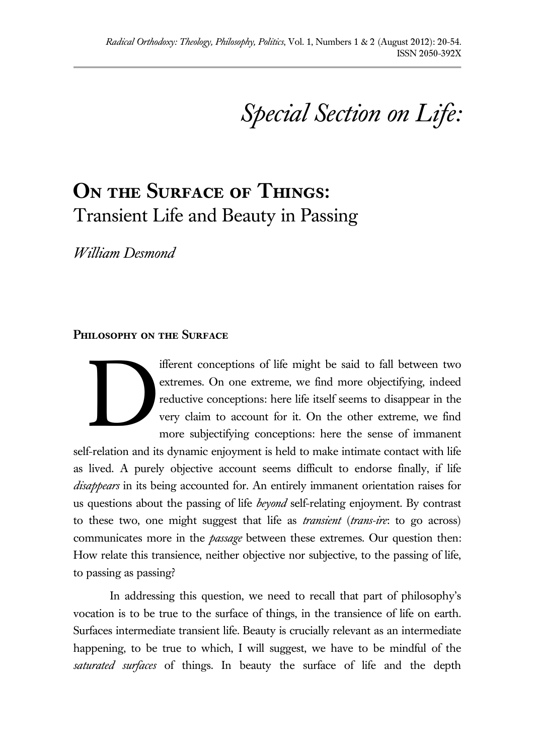*Special Section on Life:*

# **On the Surface of Things:**  Transient Life and Beauty in Passing

*William Desmond*

#### **Philosophy on the Surface**

ifferent conceptions of life might be said to fall between two extremes. On one extreme, we find more objectifying, indeed reductive conceptions: here life itself seems to disappear in the very claim to account for it. On the other extreme, we find more subjectifying conceptions: here the sense of immanent D

self-relation and its dynamic enjoyment is held to make intimate contact with life as lived. A purely objective account seems difficult to endorse finally, if life *disappears* in its being accounted for. An entirely immanent orientation raises for us questions about the passing of life *beyond* self-relating enjoyment. By contrast to these two, one might suggest that life as *transient* (*trans-ire*: to go across) communicates more in the *passage* between these extremes. Our question then: How relate this transience, neither objective nor subjective, to the passing of life, to passing as passing?

In addressing this question, we need to recall that part of philosophy's vocation is to be true to the surface of things, in the transience of life on earth. Surfaces intermediate transient life. Beauty is crucially relevant as an intermediate happening, to be true to which, I will suggest, we have to be mindful of the *saturated surfaces* of things. In beauty the surface of life and the depth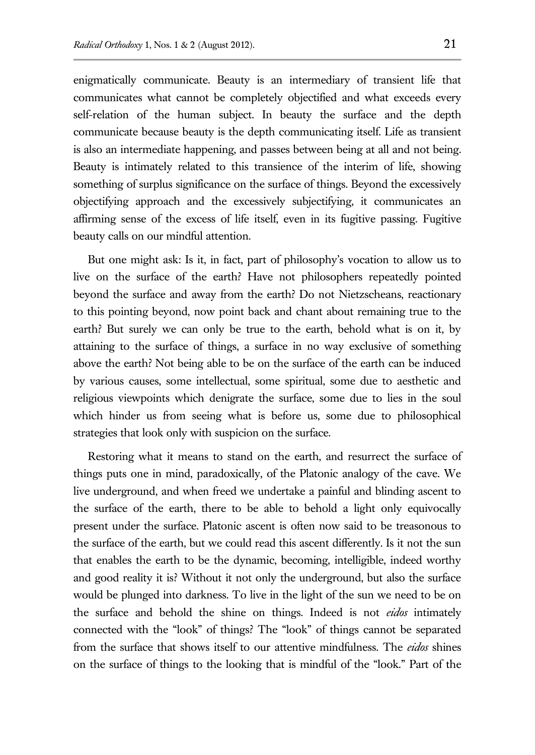enigmatically communicate. Beauty is an intermediary of transient life that communicates what cannot be completely objectified and what exceeds every self-relation of the human subject. In beauty the surface and the depth communicate because beauty is the depth communicating itself. Life as transient is also an intermediate happening, and passes between being at all and not being. Beauty is intimately related to this transience of the interim of life, showing something of surplus significance on the surface of things. Beyond the excessively objectifying approach and the excessively subjectifying, it communicates an affirming sense of the excess of life itself, even in its fugitive passing. Fugitive beauty calls on our mindful attention.

But one might ask: Is it, in fact, part of philosophy's vocation to allow us to live on the surface of the earth? Have not philosophers repeatedly pointed beyond the surface and away from the earth? Do not Nietzscheans, reactionary to this pointing beyond, now point back and chant about remaining true to the earth? But surely we can only be true to the earth, behold what is on it, by attaining to the surface of things, a surface in no way exclusive of something above the earth? Not being able to be on the surface of the earth can be induced by various causes, some intellectual, some spiritual, some due to aesthetic and religious viewpoints which denigrate the surface, some due to lies in the soul which hinder us from seeing what is before us, some due to philosophical strategies that look only with suspicion on the surface.

Restoring what it means to stand on the earth, and resurrect the surface of things puts one in mind, paradoxically, of the Platonic analogy of the cave. We live underground, and when freed we undertake a painful and blinding ascent to the surface of the earth, there to be able to behold a light only equivocally present under the surface. Platonic ascent is often now said to be treasonous to the surface of the earth, but we could read this ascent differently. Is it not the sun that enables the earth to be the dynamic, becoming, intelligible, indeed worthy and good reality it is? Without it not only the underground, but also the surface would be plunged into darkness. To live in the light of the sun we need to be on the surface and behold the shine on things. Indeed is not *eidos* intimately connected with the "look" of things? The "look" of things cannot be separated from the surface that shows itself to our attentive mindfulness. The *eidos* shines on the surface of things to the looking that is mindful of the "look." Part of the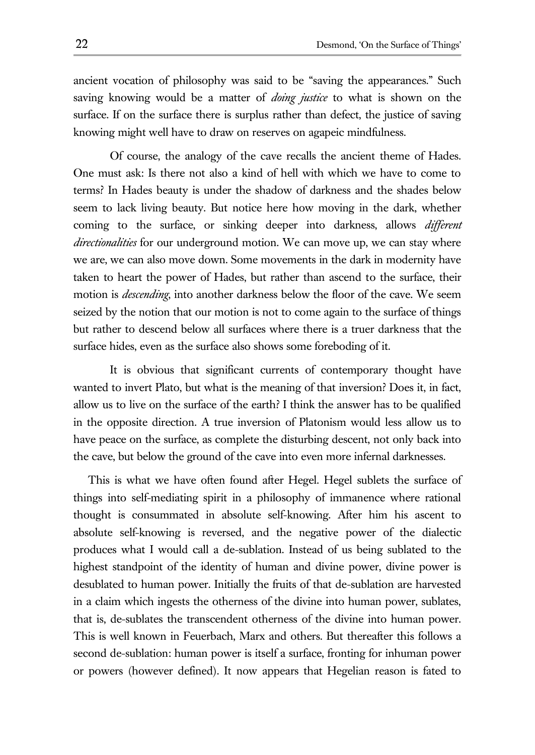ancient vocation of philosophy was said to be "saving the appearances." Such saving knowing would be a matter of *doing justice* to what is shown on the surface. If on the surface there is surplus rather than defect, the justice of saving knowing might well have to draw on reserves on agapeic mindfulness.

Of course, the analogy of the cave recalls the ancient theme of Hades. One must ask: Is there not also a kind of hell with which we have to come to terms? In Hades beauty is under the shadow of darkness and the shades below seem to lack living beauty. But notice here how moving in the dark, whether coming to the surface, or sinking deeper into darkness, allows *different directionalities* for our underground motion. We can move up, we can stay where we are, we can also move down. Some movements in the dark in modernity have taken to heart the power of Hades, but rather than ascend to the surface, their motion is *descending*, into another darkness below the floor of the cave. We seem seized by the notion that our motion is not to come again to the surface of things but rather to descend below all surfaces where there is a truer darkness that the surface hides, even as the surface also shows some foreboding of it.

It is obvious that significant currents of contemporary thought have wanted to invert Plato, but what is the meaning of that inversion? Does it, in fact, allow us to live on the surface of the earth? I think the answer has to be qualified in the opposite direction. A true inversion of Platonism would less allow us to have peace on the surface, as complete the disturbing descent, not only back into the cave, but below the ground of the cave into even more infernal darknesses.

This is what we have often found after Hegel. Hegel sublets the surface of things into self-mediating spirit in a philosophy of immanence where rational thought is consummated in absolute self-knowing. After him his ascent to absolute self-knowing is reversed, and the negative power of the dialectic produces what I would call a de-sublation. Instead of us being sublated to the highest standpoint of the identity of human and divine power, divine power is desublated to human power. Initially the fruits of that de-sublation are harvested in a claim which ingests the otherness of the divine into human power, sublates, that is, de-sublates the transcendent otherness of the divine into human power. This is well known in Feuerbach, Marx and others. But thereafter this follows a second de-sublation: human power is itself a surface, fronting for inhuman power or powers (however defined). It now appears that Hegelian reason is fated to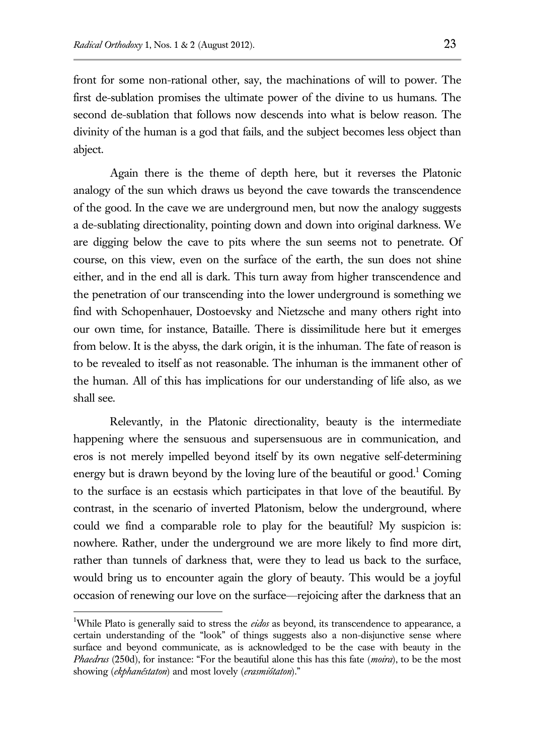front for some non-rational other, say, the machinations of will to power. The first de-sublation promises the ultimate power of the divine to us humans. The second de-sublation that follows now descends into what is below reason. The divinity of the human is a god that fails, and the subject becomes less object than abject.

Again there is the theme of depth here, but it reverses the Platonic analogy of the sun which draws us beyond the cave towards the transcendence of the good. In the cave we are underground men, but now the analogy suggests a de-sublating directionality, pointing down and down into original darkness. We are digging below the cave to pits where the sun seems not to penetrate. Of course, on this view, even on the surface of the earth, the sun does not shine either, and in the end all is dark. This turn away from higher transcendence and the penetration of our transcending into the lower underground is something we find with Schopenhauer, Dostoevsky and Nietzsche and many others right into our own time, for instance, Bataille. There is dissimilitude here but it emerges from below. It is the abyss, the dark origin, it is the inhuman. The fate of reason is to be revealed to itself as not reasonable. The inhuman is the immanent other of the human. All of this has implications for our understanding of life also, as we shall see.

Relevantly, in the Platonic directionality, beauty is the intermediate happening where the sensuous and supersensuous are in communication, and eros is not merely impelled beyond itself by its own negative self-determining energy but is drawn beyond by the loving lure of the beautiful or  $\gamma$  contains energy but is drawn beyond by the loving lure of the beautiful or  $\gamma$ to the surface is an ecstasis which participates in that love of the beautiful. By contrast, in the scenario of inverted Platonism, below the underground, where could we find a comparable role to play for the beautiful? My suspicion is: nowhere. Rather, under the underground we are more likely to find more dirt, rather than tunnels of darkness that, were they to lead us back to the surface, would bring us to encounter again the glory of beauty. This would be a joyful occasion of renewing our love on the surface—rejoicing after the darkness that an

<sup>1</sup>While Plato is generally said to stress the *eidos* as beyond, its transcendence to appearance, a certain understanding of the "look" of things suggests also a non-disjunctive sense where surface and beyond communicate, as is acknowledged to be the case with beauty in the *Phaedrus* (250d), for instance: "For the beautiful alone this has this fate (*moira*), to be the most showing (*ekphanéstaton*) and most lovely (*erasmiótaton*)."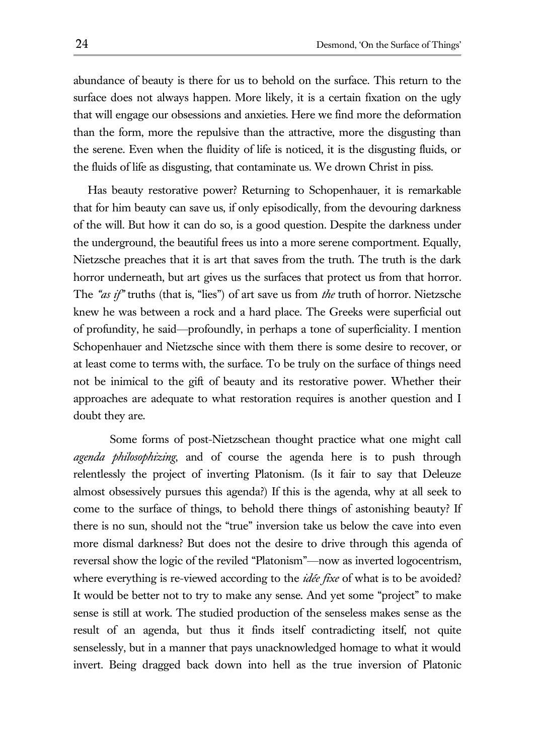abundance of beauty is there for us to behold on the surface. This return to the surface does not always happen. More likely, it is a certain fixation on the ugly that will engage our obsessions and anxieties. Here we find more the deformation than the form, more the repulsive than the attractive, more the disgusting than the serene. Even when the fluidity of life is noticed, it is the disgusting fluids, or the fluids of life as disgusting, that contaminate us. We drown Christ in piss.

Has beauty restorative power? Returning to Schopenhauer, it is remarkable that for him beauty can save us, if only episodically, from the devouring darkness of the will. But how it can do so, is a good question. Despite the darkness under the underground, the beautiful frees us into a more serene comportment. Equally, Nietzsche preaches that it is art that saves from the truth. The truth is the dark horror underneath, but art gives us the surfaces that protect us from that horror. The *"as if"* truths (that is, "lies") of art save us from *the* truth of horror. Nietzsche knew he was between a rock and a hard place. The Greeks were superficial out of profundity, he said—profoundly, in perhaps a tone of superficiality. I mention Schopenhauer and Nietzsche since with them there is some desire to recover, or at least come to terms with, the surface. To be truly on the surface of things need not be inimical to the gift of beauty and its restorative power. Whether their approaches are adequate to what restoration requires is another question and I doubt they are.

Some forms of post-Nietzschean thought practice what one might call *agenda philosophizing*, and of course the agenda here is to push through relentlessly the project of inverting Platonism. (Is it fair to say that Deleuze almost obsessively pursues this agenda?) If this is the agenda, why at all seek to come to the surface of things, to behold there things of astonishing beauty? If there is no sun, should not the "true" inversion take us below the cave into even more dismal darkness? But does not the desire to drive through this agenda of reversal show the logic of the reviled "Platonism"—now as inverted logocentrism, where everything is re-viewed according to the *idée fixe* of what is to be avoided? It would be better not to try to make any sense. And yet some "project" to make sense is still at work. The studied production of the senseless makes sense as the result of an agenda, but thus it finds itself contradicting itself, not quite senselessly, but in a manner that pays unacknowledged homage to what it would invert. Being dragged back down into hell as the true inversion of Platonic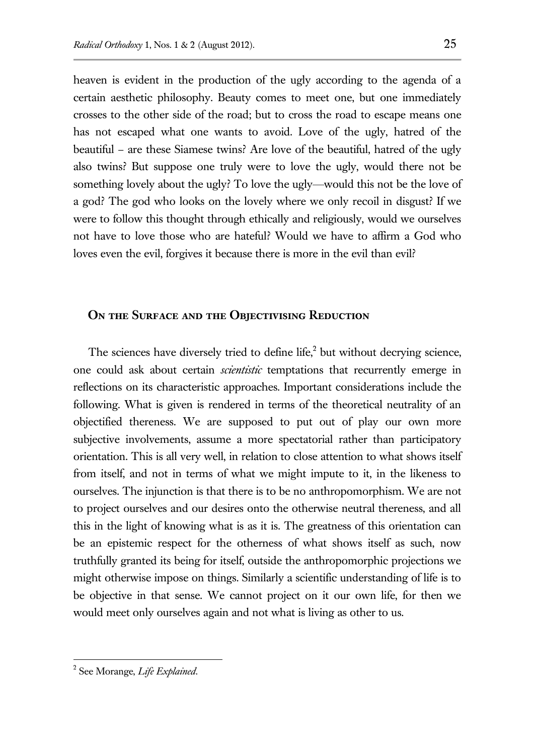heaven is evident in the production of the ugly according to the agenda of a certain aesthetic philosophy. Beauty comes to meet one, but one immediately crosses to the other side of the road; but to cross the road to escape means one has not escaped what one wants to avoid. Love of the ugly, hatred of the beautiful – are these Siamese twins? Are love of the beautiful, hatred of the ugly also twins? But suppose one truly were to love the ugly, would there not be something lovely about the ugly? To love the ugly—would this not be the love of a god? The god who looks on the lovely where we only recoil in disgust? If we were to follow this thought through ethically and religiously, would we ourselves not have to love those who are hateful? Would we have to affirm a God who loves even the evil, forgives it because there is more in the evil than evil?

#### **On the Surface and the Objectivising Reduction**

The sciences have diversely tried to define life, $2$  but without decrying science, one could ask about certain *scientistic* temptations that recurrently emerge in reflections on its characteristic approaches. Important considerations include the following. What is given is rendered in terms of the theoretical neutrality of an objectified thereness. We are supposed to put out of play our own more subjective involvements, assume a more spectatorial rather than participatory orientation. This is all very well, in relation to close attention to what shows itself from itself, and not in terms of what we might impute to it, in the likeness to ourselves. The injunction is that there is to be no anthropomorphism. We are not to project ourselves and our desires onto the otherwise neutral thereness, and all this in the light of knowing what is as it is. The greatness of this orientation can be an epistemic respect for the otherness of what shows itself as such, now truthfully granted its being for itself, outside the anthropomorphic projections we might otherwise impose on things. Similarly a scientific understanding of life is to be objective in that sense. We cannot project on it our own life, for then we would meet only ourselves again and not what is living as other to us.

<sup>2</sup> See Morange, *Life Explained*.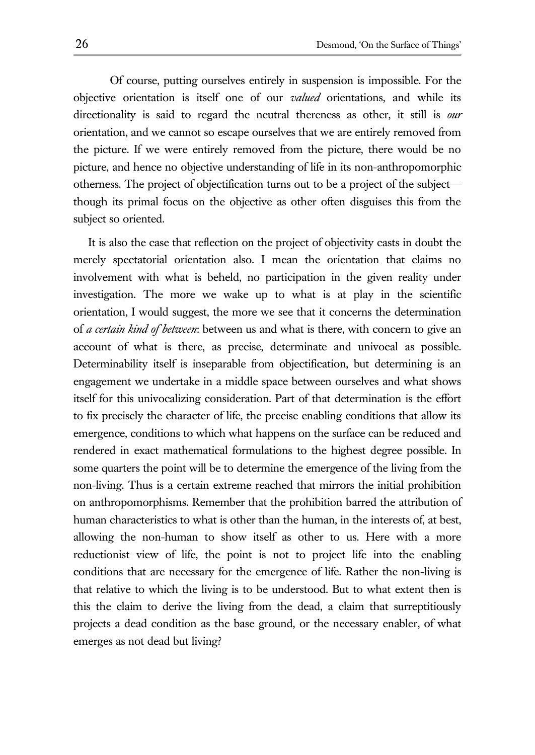Of course, putting ourselves entirely in suspension is impossible. For the objective orientation is itself one of our *valued* orientations, and while its directionality is said to regard the neutral thereness as other, it still is *our* orientation, and we cannot so escape ourselves that we are entirely removed from the picture. If we were entirely removed from the picture, there would be no picture, and hence no objective understanding of life in its non-anthropomorphic otherness. The project of objectification turns out to be a project of the subject though its primal focus on the objective as other often disguises this from the subject so oriented.

It is also the case that reflection on the project of objectivity casts in doubt the merely spectatorial orientation also. I mean the orientation that claims no involvement with what is beheld, no participation in the given reality under investigation. The more we wake up to what is at play in the scientific orientation, I would suggest, the more we see that it concerns the determination of *a certain kind of between*: between us and what is there, with concern to give an account of what is there, as precise, determinate and univocal as possible. Determinability itself is inseparable from objectification, but determining is an engagement we undertake in a middle space between ourselves and what shows itself for this univocalizing consideration. Part of that determination is the effort to fix precisely the character of life, the precise enabling conditions that allow its emergence, conditions to which what happens on the surface can be reduced and rendered in exact mathematical formulations to the highest degree possible. In some quarters the point will be to determine the emergence of the living from the non-living. Thus is a certain extreme reached that mirrors the initial prohibition on anthropomorphisms. Remember that the prohibition barred the attribution of human characteristics to what is other than the human, in the interests of, at best, allowing the non-human to show itself as other to us. Here with a more reductionist view of life, the point is not to project life into the enabling conditions that are necessary for the emergence of life. Rather the non-living is that relative to which the living is to be understood. But to what extent then is this the claim to derive the living from the dead, a claim that surreptitiously projects a dead condition as the base ground, or the necessary enabler, of what emerges as not dead but living?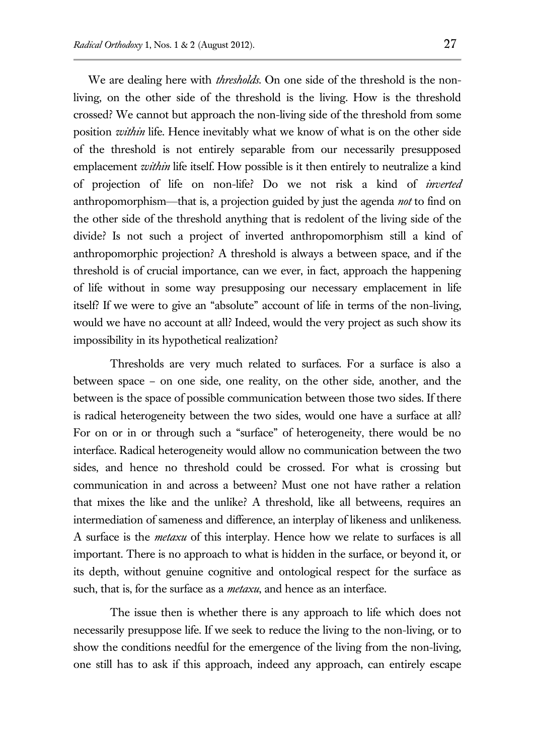We are dealing here with *thresholds*. On one side of the threshold is the nonliving, on the other side of the threshold is the living. How is the threshold crossed? We cannot but approach the non-living side of the threshold from some position *within* life. Hence inevitably what we know of what is on the other side of the threshold is not entirely separable from our necessarily presupposed emplacement *within* life itself. How possible is it then entirely to neutralize a kind of projection of life on non-life? Do we not risk a kind of *inverted* anthropomorphism—that is, a projection guided by just the agenda *not* to find on the other side of the threshold anything that is redolent of the living side of the divide? Is not such a project of inverted anthropomorphism still a kind of anthropomorphic projection? A threshold is always a between space, and if the threshold is of crucial importance, can we ever, in fact, approach the happening of life without in some way presupposing our necessary emplacement in life itself? If we were to give an "absolute" account of life in terms of the non-living, would we have no account at all? Indeed, would the very project as such show its impossibility in its hypothetical realization?

Thresholds are very much related to surfaces. For a surface is also a between space – on one side, one reality, on the other side, another, and the between is the space of possible communication between those two sides. If there is radical heterogeneity between the two sides, would one have a surface at all? For on or in or through such a "surface" of heterogeneity, there would be no interface. Radical heterogeneity would allow no communication between the two sides, and hence no threshold could be crossed. For what is crossing but communication in and across a between? Must one not have rather a relation that mixes the like and the unlike? A threshold, like all betweens, requires an intermediation of sameness and difference, an interplay of likeness and unlikeness. A surface is the *metaxu* of this interplay. Hence how we relate to surfaces is all important. There is no approach to what is hidden in the surface, or beyond it, or its depth, without genuine cognitive and ontological respect for the surface as such, that is, for the surface as a *metaxu*, and hence as an interface.

The issue then is whether there is any approach to life which does not necessarily presuppose life. If we seek to reduce the living to the non-living, or to show the conditions needful for the emergence of the living from the non-living, one still has to ask if this approach, indeed any approach, can entirely escape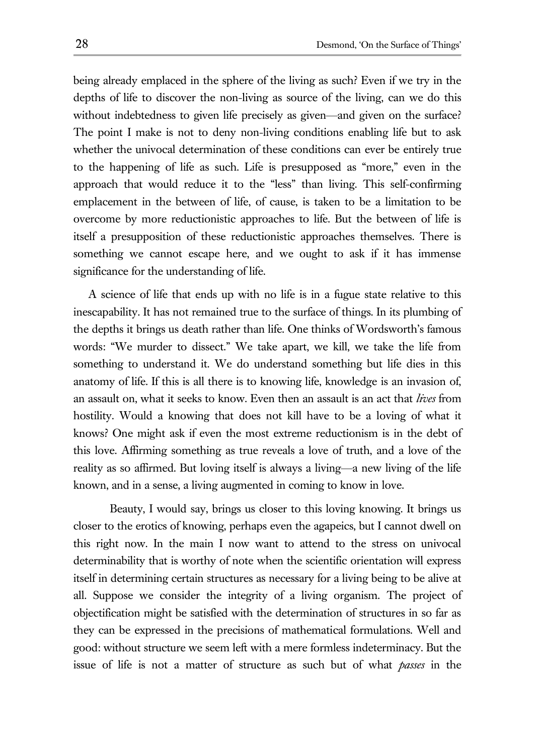being already emplaced in the sphere of the living as such? Even if we try in the depths of life to discover the non-living as source of the living, can we do this without indebtedness to given life precisely as given—and given on the surface? The point I make is not to deny non-living conditions enabling life but to ask whether the univocal determination of these conditions can ever be entirely true to the happening of life as such. Life is presupposed as "more," even in the approach that would reduce it to the "less" than living. This self-confirming emplacement in the between of life, of cause, is taken to be a limitation to be overcome by more reductionistic approaches to life. But the between of life is itself a presupposition of these reductionistic approaches themselves. There is something we cannot escape here, and we ought to ask if it has immense significance for the understanding of life.

A science of life that ends up with no life is in a fugue state relative to this inescapability. It has not remained true to the surface of things. In its plumbing of the depths it brings us death rather than life. One thinks of Wordsworth's famous words: "We murder to dissect." We take apart, we kill, we take the life from something to understand it. We do understand something but life dies in this anatomy of life. If this is all there is to knowing life, knowledge is an invasion of, an assault on, what it seeks to know. Even then an assault is an act that *lives* from hostility. Would a knowing that does not kill have to be a loving of what it knows? One might ask if even the most extreme reductionism is in the debt of this love. Affirming something as true reveals a love of truth, and a love of the reality as so affirmed. But loving itself is always a living—a new living of the life known, and in a sense, a living augmented in coming to know in love.

Beauty, I would say, brings us closer to this loving knowing. It brings us closer to the erotics of knowing, perhaps even the agapeics, but I cannot dwell on this right now. In the main I now want to attend to the stress on univocal determinability that is worthy of note when the scientific orientation will express itself in determining certain structures as necessary for a living being to be alive at all. Suppose we consider the integrity of a living organism. The project of objectification might be satisfied with the determination of structures in so far as they can be expressed in the precisions of mathematical formulations. Well and good: without structure we seem left with a mere formless indeterminacy. But the issue of life is not a matter of structure as such but of what *passes* in the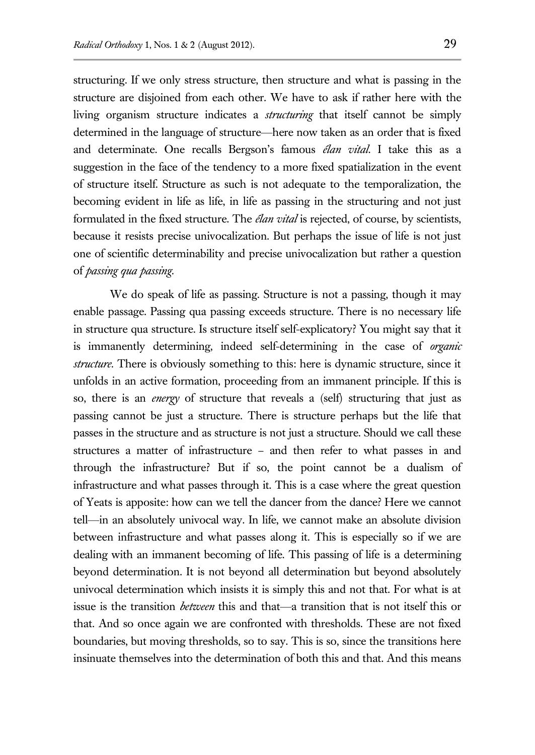structuring. If we only stress structure, then structure and what is passing in the structure are disjoined from each other. We have to ask if rather here with the living organism structure indicates a *structuring* that itself cannot be simply determined in the language of structure—here now taken as an order that is fixed and determinate. One recalls Bergson's famous *élan vital*. I take this as a suggestion in the face of the tendency to a more fixed spatialization in the event of structure itself. Structure as such is not adequate to the temporalization, the becoming evident in life as life, in life as passing in the structuring and not just formulated in the fixed structure. The *élan vital* is rejected, of course, by scientists, because it resists precise univocalization. But perhaps the issue of life is not just one of scientific determinability and precise univocalization but rather a question of *passing qua passing*.

We do speak of life as passing. Structure is not a passing, though it may enable passage. Passing qua passing exceeds structure. There is no necessary life in structure qua structure. Is structure itself self-explicatory? You might say that it is immanently determining, indeed self-determining in the case of *organic structure*. There is obviously something to this: here is dynamic structure, since it unfolds in an active formation, proceeding from an immanent principle. If this is so, there is an *energy* of structure that reveals a (self) structuring that just as passing cannot be just a structure. There is structure perhaps but the life that passes in the structure and as structure is not just a structure. Should we call these structures a matter of infrastructure – and then refer to what passes in and through the infrastructure? But if so, the point cannot be a dualism of infrastructure and what passes through it. This is a case where the great question of Yeats is apposite: how can we tell the dancer from the dance? Here we cannot tell—in an absolutely univocal way. In life, we cannot make an absolute division between infrastructure and what passes along it. This is especially so if we are dealing with an immanent becoming of life. This passing of life is a determining beyond determination. It is not beyond all determination but beyond absolutely univocal determination which insists it is simply this and not that. For what is at issue is the transition *between* this and that—a transition that is not itself this or that. And so once again we are confronted with thresholds. These are not fixed boundaries, but moving thresholds, so to say. This is so, since the transitions here insinuate themselves into the determination of both this and that. And this means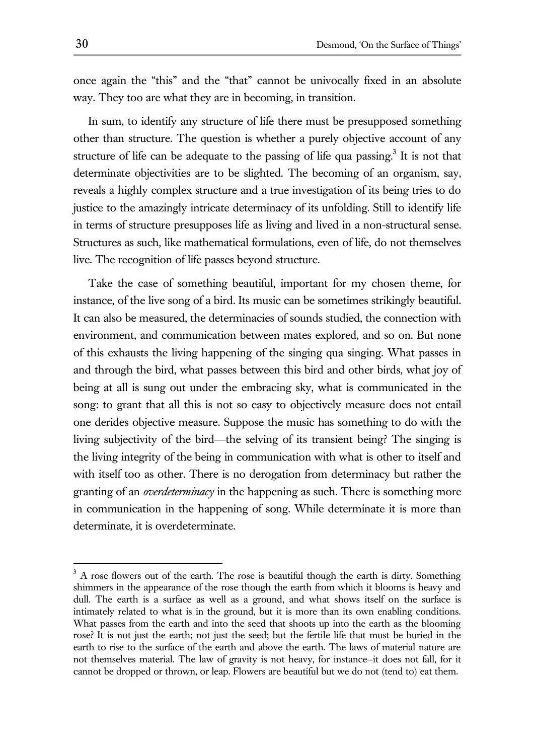once again the "this" and the "that" cannot be univocally fixed in an absolute way. They too are what they are in becoming, in transition.

In sum, to identify any structure of life there must be presupposed something other than structure. The question is whether a purely objective account of any structure of life can be adequate to the passing of life qua passing.<sup>3</sup> It is not that determinate objectivities are to be slighted. The becoming of an organism, say, reveals a highly complex structure and a true investigation of its being tries to do justice to the amazingly intricate determinacy of its unfolding. Still to identify life in terms of structure presupposes life as living and lived in a non-structural sense. Structures as such, like mathematical formulations, even of life, do not themselves live. The recognition of life passes beyond structure.

Take the case of something beautiful, important for my chosen theme, for instance, of the live song of a bird. Its music can be sometimes strikingly beautiful. It can also be measured, the determinacies of sounds studied, the connection with environment, and communication between mates explored, and so on. But none of this exhausts the living happening of the singing qua singing. What passes in and through the bird, what passes between this bird and other birds, what joy of being at all is sung out under the embracing sky, what is communicated in the song: to grant that all this is not so easy to objectively measure does not entail one derides objective measure. Suppose the music has something to do with the living subjectivity of the bird—the selving of its transient being? The singing is the living integrity of the being in communication with what is other to itself and with itself too as other. There is no derogation from determinacy but rather the granting of an *overdeterminacy* in the happening as such. There is something more in communication in the happening of song. While determinate it is more than determinate, it is overdeterminate.

 $3$  A rose flowers out of the earth. The rose is beautiful though the earth is dirty. Something shimmers in the appearance of the rose though the earth from which it blooms is heavy and dull. The earth is a surface as well as a ground, and what shows itself on the surface is intimately related to what is in the ground, but it is more than its own enabling conditions. What passes from the earth and into the seed that shoots up into the earth as the blooming rose? It is not just the earth; not just the seed; but the fertile life that must be buried in the earth to rise to the surface of the earth and above the earth. The laws of material nature are not themselves material. The law of gravity is not heavy, for instance—it does not fall, for it cannot be dropped or thrown, or leap. Flowers are beautiful but we do not (tend to) eat them.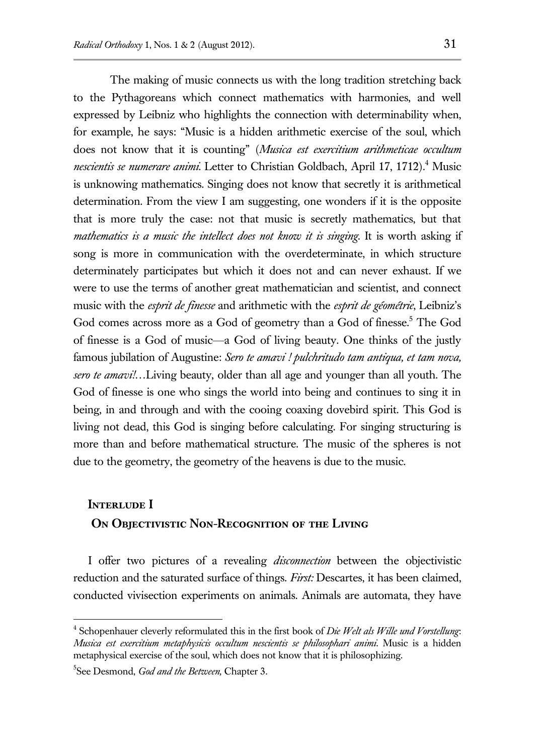The making of music connects us with the long tradition stretching back to the Pythagoreans which connect mathematics with harmonies, and well expressed by Leibniz who highlights the connection with determinability when, for example, he says: "Music is a hidden arithmetic exercise of the soul, which does not know that it is counting" (*Musica est exercitium arithmeticae occultum nescientis se numerare animi*. Letter to Christian Goldbach, April 17, 1712).<sup>4</sup> Music is unknowing mathematics. Singing does not know that secretly it is arithmetical determination. From the view I am suggesting, one wonders if it is the opposite that is more truly the case: not that music is secretly mathematics, but that *mathematics is a music the intellect does not know it is singing*. It is worth asking if song is more in communication with the overdeterminate, in which structure determinately participates but which it does not and can never exhaust. If we were to use the terms of another great mathematician and scientist, and connect music with the *esprit de finesse* and arithmetic with the *esprit de géométrie*, Leibniz's God comes across more as a God of geometry than a God of finesse.<sup>5</sup> The God of finesse is a God of music—a God of living beauty. One thinks of the justly famous jubilation of Augustine: *Sero te amavi ! pulchritudo tam antiqua, et tam nova, sero te amavi!…*Living beauty, older than all age and younger than all youth. The God of finesse is one who sings the world into being and continues to sing it in being, in and through and with the cooing coaxing dovebird spirit. This God is living not dead, this God is singing before calculating. For singing structuring is more than and before mathematical structure. The music of the spheres is not due to the geometry, the geometry of the heavens is due to the music.

# **Interlude I ON OBJECTIVISTIC NON-RECOGNITION OF THE LIVING**

I offer two pictures of a revealing *disconnection* between the objectivistic reduction and the saturated surface of things. *First:* Descartes, it has been claimed, conducted vivisection experiments on animals. Animals are automata, they have

<sup>4</sup> Schopenhauer cleverly reformulated this in the first book of *Die Welt als Wille und Vorstellung*: *Musica est exercitium metaphysicis occultum nescientis se philosophari animi.* Music is a hidden metaphysical exercise of the soul, which does not know that it is philosophizing.

<sup>5</sup> See Desmond, *God and the Between,* Chapter 3.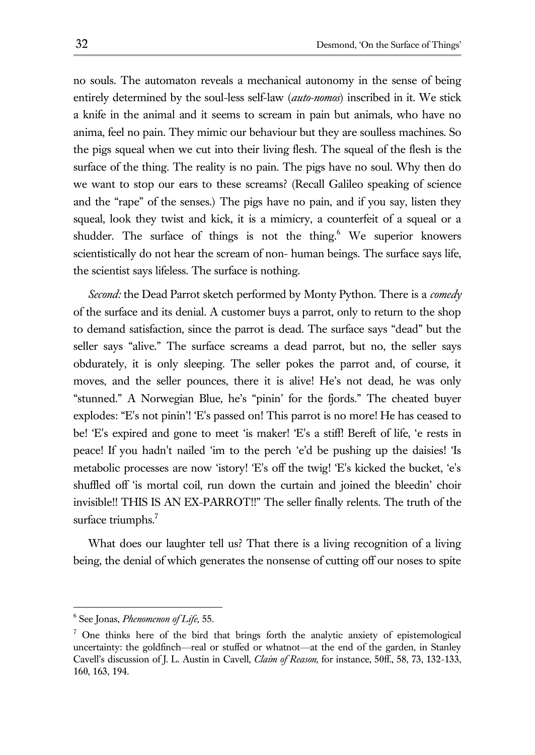no souls. The automaton reveals a mechanical autonomy in the sense of being entirely determined by the soul-less self-law (*auto-nomos*) inscribed in it. We stick a knife in the animal and it seems to scream in pain but animals, who have no anima, feel no pain. They mimic our behaviour but they are soulless machines. So the pigs squeal when we cut into their living flesh. The squeal of the flesh is the surface of the thing. The reality is no pain. The pigs have no soul. Why then do we want to stop our ears to these screams? (Recall Galileo speaking of science and the "rape" of the senses.) The pigs have no pain, and if you say, listen they squeal, look they twist and kick, it is a mimicry, a counterfeit of a squeal or a shudder. The surface of things is not the thing.<sup>6</sup> We superior knowers scientistically do not hear the scream of non- human beings. The surface says life, the scientist says lifeless. The surface is nothing.

*Second:* the Dead Parrot sketch performed by Monty Python. There is a *comedy*  of the surface and its denial. A customer buys a parrot, only to return to the shop to demand satisfaction, since the parrot is dead. The surface says "dead" but the seller says "alive." The surface screams a dead parrot, but no, the seller says obdurately, it is only sleeping. The seller pokes the parrot and, of course, it moves, and the seller pounces, there it is alive! He's not dead, he was only "stunned." A Norwegian Blue, he's "pinin' for the fjords." The cheated buyer explodes: "E's not pinin'! 'E's passed on! This parrot is no more! He has ceased to be! 'E's expired and gone to meet 'is maker! 'E's a stiff! Bereft of life, 'e rests in peace! If you hadn't nailed 'im to the perch 'e'd be pushing up the daisies! 'Is metabolic processes are now 'istory! 'E's off the twig! 'E's kicked the bucket, 'e's shuffled off 'is mortal coil, run down the curtain and joined the bleedin' choir invisible!! THIS IS AN EX-PARROT!!" The seller finally relents. The truth of the surface triumphs.<sup>7</sup>

What does our laughter tell us? That there is a living recognition of a living being, the denial of which generates the nonsense of cutting off our noses to spite

<sup>6</sup> See Jonas, *Phenomenon of Life*, 55.

 $<sup>7</sup>$  One thinks here of the bird that brings forth the analytic anxiety of epistemological</sup> uncertainty: the goldfinch—real or stuffed or whatnot—at the end of the garden, in Stanley Cavell's discussion of J. L. Austin in Cavell, *Claim of Reason,* for instance, 50ff., 58, 73, 132-133, 160, 163, 194.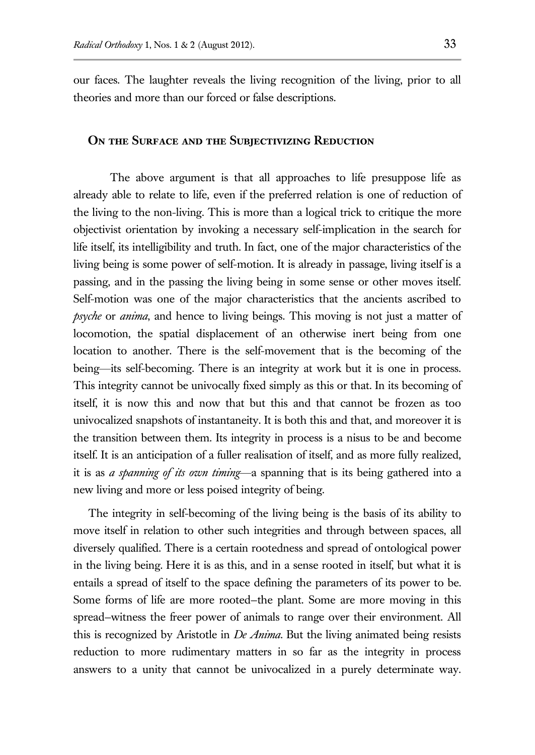our faces. The laughter reveals the living recognition of the living, prior to all theories and more than our forced or false descriptions.

#### **ON THE SURFACE AND THE SUBJECTIVIZING REDUCTION**

The above argument is that all approaches to life presuppose life as already able to relate to life, even if the preferred relation is one of reduction of the living to the non-living. This is more than a logical trick to critique the more objectivist orientation by invoking a necessary self-implication in the search for life itself, its intelligibility and truth. In fact, one of the major characteristics of the living being is some power of self-motion. It is already in passage, living itself is a passing, and in the passing the living being in some sense or other moves itself. Self-motion was one of the major characteristics that the ancients ascribed to *psyche* or *anima*, and hence to living beings. This moving is not just a matter of locomotion, the spatial displacement of an otherwise inert being from one location to another. There is the self-movement that is the becoming of the being—its self-becoming. There is an integrity at work but it is one in process. This integrity cannot be univocally fixed simply as this or that. In its becoming of itself, it is now this and now that but this and that cannot be frozen as too univocalized snapshots of instantaneity. It is both this and that, and moreover it is the transition between them. Its integrity in process is a nisus to be and become itself. It is an anticipation of a fuller realisation of itself, and as more fully realized, it is as *a spanning of its own timing*—a spanning that is its being gathered into a new living and more or less poised integrity of being.

The integrity in self-becoming of the living being is the basis of its ability to move itself in relation to other such integrities and through between spaces, all diversely qualified. There is a certain rootedness and spread of ontological power in the living being. Here it is as this, and in a sense rooted in itself, but what it is entails a spread of itself to the space defining the parameters of its power to be. Some forms of life are more rooted—the plant. Some are more moving in this spread—witness the freer power of animals to range over their environment. All this is recognized by Aristotle in *De Anima*. But the living animated being resists reduction to more rudimentary matters in so far as the integrity in process answers to a unity that cannot be univocalized in a purely determinate way.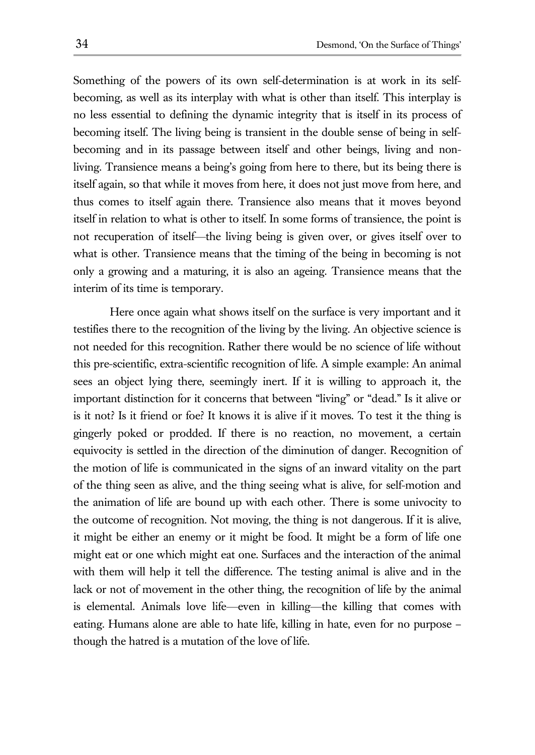Something of the powers of its own self-determination is at work in its selfbecoming, as well as its interplay with what is other than itself. This interplay is no less essential to defining the dynamic integrity that is itself in its process of becoming itself. The living being is transient in the double sense of being in selfbecoming and in its passage between itself and other beings, living and nonliving. Transience means a being's going from here to there, but its being there is itself again, so that while it moves from here, it does not just move from here, and thus comes to itself again there. Transience also means that it moves beyond itself in relation to what is other to itself. In some forms of transience, the point is not recuperation of itself—the living being is given over, or gives itself over to what is other. Transience means that the timing of the being in becoming is not only a growing and a maturing, it is also an ageing. Transience means that the interim of its time is temporary.

Here once again what shows itself on the surface is very important and it testifies there to the recognition of the living by the living. An objective science is not needed for this recognition. Rather there would be no science of life without this pre-scientific, extra-scientific recognition of life. A simple example: An animal sees an object lying there, seemingly inert. If it is willing to approach it, the important distinction for it concerns that between "living" or "dead." Is it alive or is it not? Is it friend or foe? It knows it is alive if it moves. To test it the thing is gingerly poked or prodded. If there is no reaction, no movement, a certain equivocity is settled in the direction of the diminution of danger. Recognition of the motion of life is communicated in the signs of an inward vitality on the part of the thing seen as alive, and the thing seeing what is alive, for self-motion and the animation of life are bound up with each other. There is some univocity to the outcome of recognition. Not moving, the thing is not dangerous. If it is alive, it might be either an enemy or it might be food. It might be a form of life one might eat or one which might eat one. Surfaces and the interaction of the animal with them will help it tell the difference. The testing animal is alive and in the lack or not of movement in the other thing, the recognition of life by the animal is elemental. Animals love life—even in killing—the killing that comes with eating. Humans alone are able to hate life, killing in hate, even for no purpose – though the hatred is a mutation of the love of life.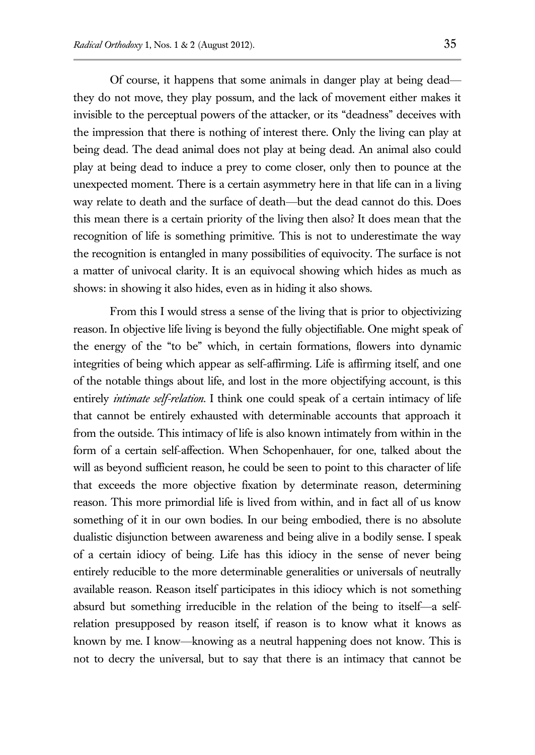Of course, it happens that some animals in danger play at being dead they do not move, they play possum, and the lack of movement either makes it invisible to the perceptual powers of the attacker, or its "deadness" deceives with the impression that there is nothing of interest there. Only the living can play at being dead. The dead animal does not play at being dead. An animal also could play at being dead to induce a prey to come closer, only then to pounce at the unexpected moment. There is a certain asymmetry here in that life can in a living way relate to death and the surface of death—but the dead cannot do this. Does this mean there is a certain priority of the living then also? It does mean that the recognition of life is something primitive. This is not to underestimate the way the recognition is entangled in many possibilities of equivocity. The surface is not a matter of univocal clarity. It is an equivocal showing which hides as much as shows: in showing it also hides, even as in hiding it also shows.

From this I would stress a sense of the living that is prior to objectivizing reason. In objective life living is beyond the fully objectifiable. One might speak of the energy of the "to be" which, in certain formations, flowers into dynamic integrities of being which appear as self-affirming. Life is affirming itself, and one of the notable things about life, and lost in the more objectifying account, is this entirely *intimate self-relation*. I think one could speak of a certain intimacy of life that cannot be entirely exhausted with determinable accounts that approach it from the outside. This intimacy of life is also known intimately from within in the form of a certain self-affection. When Schopenhauer, for one, talked about the will as beyond sufficient reason, he could be seen to point to this character of life that exceeds the more objective fixation by determinate reason, determining reason. This more primordial life is lived from within, and in fact all of us know something of it in our own bodies. In our being embodied, there is no absolute dualistic disjunction between awareness and being alive in a bodily sense. I speak of a certain idiocy of being. Life has this idiocy in the sense of never being entirely reducible to the more determinable generalities or universals of neutrally available reason. Reason itself participates in this idiocy which is not something absurd but something irreducible in the relation of the being to itself—a selfrelation presupposed by reason itself, if reason is to know what it knows as known by me. I know—knowing as a neutral happening does not know. This is not to decry the universal, but to say that there is an intimacy that cannot be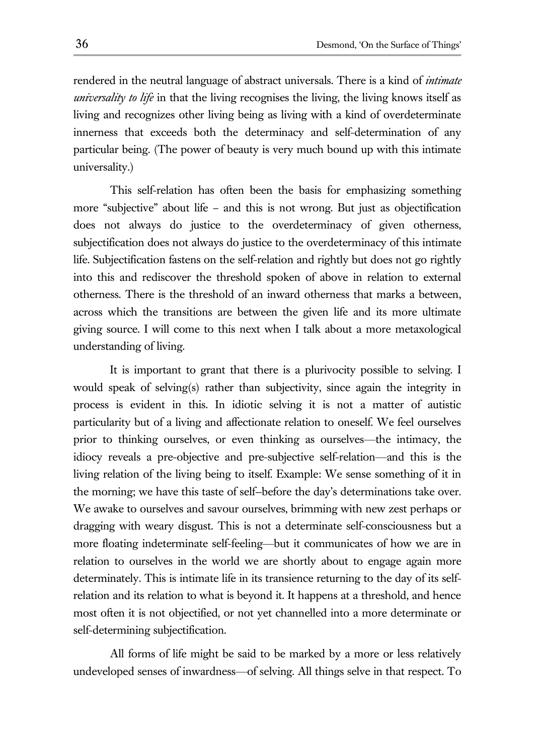rendered in the neutral language of abstract universals. There is a kind of *intimate universality to life* in that the living recognises the living, the living knows itself as living and recognizes other living being as living with a kind of overdeterminate innerness that exceeds both the determinacy and self-determination of any particular being. (The power of beauty is very much bound up with this intimate universality.)

This self-relation has often been the basis for emphasizing something more "subjective" about life – and this is not wrong. But just as objectification does not always do justice to the overdeterminacy of given otherness, subjectification does not always do justice to the overdeterminacy of this intimate life. Subjectification fastens on the self-relation and rightly but does not go rightly into this and rediscover the threshold spoken of above in relation to external otherness. There is the threshold of an inward otherness that marks a between, across which the transitions are between the given life and its more ultimate giving source. I will come to this next when I talk about a more metaxological understanding of living.

It is important to grant that there is a plurivocity possible to selving. I would speak of selving(s) rather than subjectivity, since again the integrity in process is evident in this. In idiotic selving it is not a matter of autistic particularity but of a living and affectionate relation to oneself. We feel ourselves prior to thinking ourselves, or even thinking as ourselves—the intimacy, the idiocy reveals a pre-objective and pre-subjective self-relation—and this is the living relation of the living being to itself. Example: We sense something of it in the morning; we have this taste of self—before the day's determinations take over. We awake to ourselves and savour ourselves, brimming with new zest perhaps or dragging with weary disgust. This is not a determinate self-consciousness but a more floating indeterminate self-feeling—but it communicates of how we are in relation to ourselves in the world we are shortly about to engage again more determinately. This is intimate life in its transience returning to the day of its selfrelation and its relation to what is beyond it. It happens at a threshold, and hence most often it is not objectified, or not yet channelled into a more determinate or self-determining subjectification.

All forms of life might be said to be marked by a more or less relatively undeveloped senses of inwardness—of selving. All things selve in that respect. To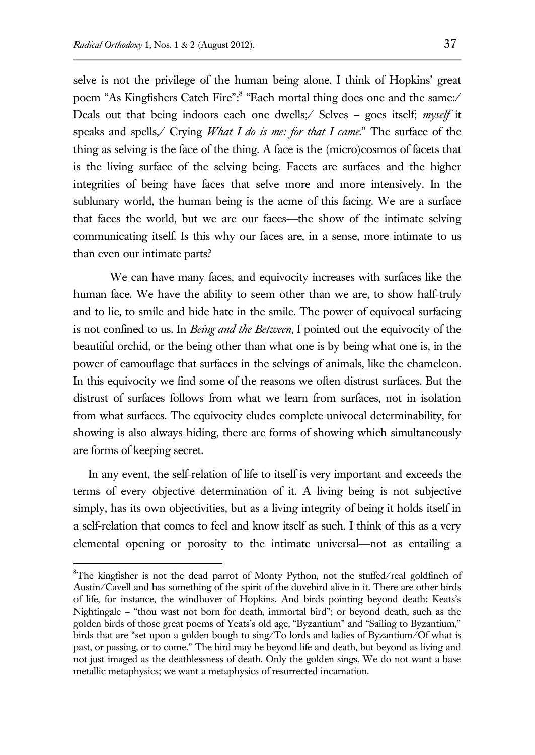$\overline{a}$ 

selve is not the privilege of the human being alone. I think of Hopkins' great poem "As Kingfishers Catch Fire": <sup>8</sup> "Each mortal thing does one and the same:/ Deals out that being indoors each one dwells;/ Selves – goes itself; *myself* it speaks and spells,/ Crying *What I do is me: for that I came*." The surface of the thing as selving is the face of the thing. A face is the (micro)cosmos of facets that is the living surface of the selving being. Facets are surfaces and the higher integrities of being have faces that selve more and more intensively. In the sublunary world, the human being is the acme of this facing. We are a surface that faces the world, but we are our faces—the show of the intimate selving communicating itself. Is this why our faces are, in a sense, more intimate to us than even our intimate parts?

We can have many faces, and equivocity increases with surfaces like the human face. We have the ability to seem other than we are, to show half-truly and to lie, to smile and hide hate in the smile. The power of equivocal surfacing is not confined to us. In *Being and the Between*, I pointed out the equivocity of the beautiful orchid, or the being other than what one is by being what one is, in the power of camouflage that surfaces in the selvings of animals, like the chameleon. In this equivocity we find some of the reasons we often distrust surfaces. But the distrust of surfaces follows from what we learn from surfaces, not in isolation from what surfaces. The equivocity eludes complete univocal determinability, for showing is also always hiding, there are forms of showing which simultaneously are forms of keeping secret.

In any event, the self-relation of life to itself is very important and exceeds the terms of every objective determination of it. A living being is not subjective simply, has its own objectivities, but as a living integrity of being it holds itself in a self-relation that comes to feel and know itself as such. I think of this as a very elemental opening or porosity to the intimate universal—not as entailing a

 ${}^{8}$ The kingfisher is not the dead parrot of Monty Python, not the stuffed/real goldfinch of Austin/Cavell and has something of the spirit of the dovebird alive in it. There are other birds of life, for instance, the windhover of Hopkins. And birds pointing beyond death: Keats's Nightingale – "thou wast not born for death, immortal bird"; or beyond death, such as the golden birds of those great poems of Yeats's old age, "Byzantium" and "Sailing to Byzantium," birds that are "set upon a golden bough to sing/To lords and ladies of Byzantium/Of what is past, or passing, or to come." The bird may be beyond life and death, but beyond as living and not just imaged as the deathlessness of death. Only the golden sings. We do not want a base metallic metaphysics; we want a metaphysics of resurrected incarnation.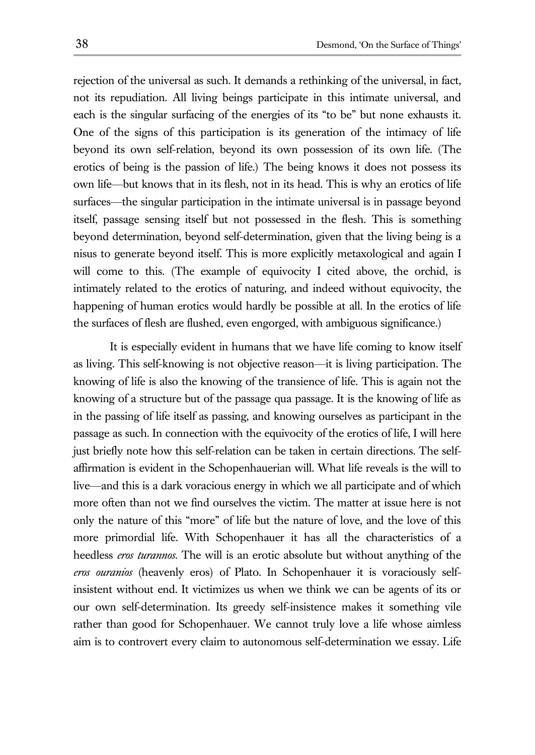rejection of the universal as such. It demands a rethinking of the universal, in fact, not its repudiation. All living beings participate in this intimate universal, and each is the singular surfacing of the energies of its "to be" but none exhausts it. One of the signs of this participation is its generation of the intimacy of life beyond its own self-relation, beyond its own possession of its own life. (The erotics of being is the passion of life.) The being knows it does not possess its own life—but knows that in its flesh, not in its head. This is why an erotics of life surfaces—the singular participation in the intimate universal is in passage beyond itself, passage sensing itself but not possessed in the flesh. This is something beyond determination, beyond self-determination, given that the living being is a nisus to generate beyond itself. This is more explicitly metaxological and again I will come to this. (The example of equivocity I cited above, the orchid, is intimately related to the erotics of naturing, and indeed without equivocity, the happening of human erotics would hardly be possible at all. In the erotics of life the surfaces of flesh are flushed, even engorged, with ambiguous significance.)

It is especially evident in humans that we have life coming to know itself as living. This self-knowing is not objective reason—it is living participation. The knowing of life is also the knowing of the transience of life. This is again not the knowing of a structure but of the passage qua passage. It is the knowing of life as in the passing of life itself as passing, and knowing ourselves as participant in the passage as such. In connection with the equivocity of the erotics of life, I will here just briefly note how this self-relation can be taken in certain directions. The selfaffirmation is evident in the Schopenhauerian will. What life reveals is the will to live—and this is a dark voracious energy in which we all participate and of which more often than not we find ourselves the victim. The matter at issue here is not only the nature of this "more" of life but the nature of love, and the love of this more primordial life. With Schopenhauer it has all the characteristics of a heedless *eros turannos*. The will is an erotic absolute but without anything of the *eros ouranios* (heavenly eros) of Plato. In Schopenhauer it is voraciously selfinsistent without end. It victimizes us when we think we can be agents of its or our own self-determination. Its greedy self-insistence makes it something vile rather than good for Schopenhauer. We cannot truly love a life whose aimless aim is to controvert every claim to autonomous self-determination we essay. Life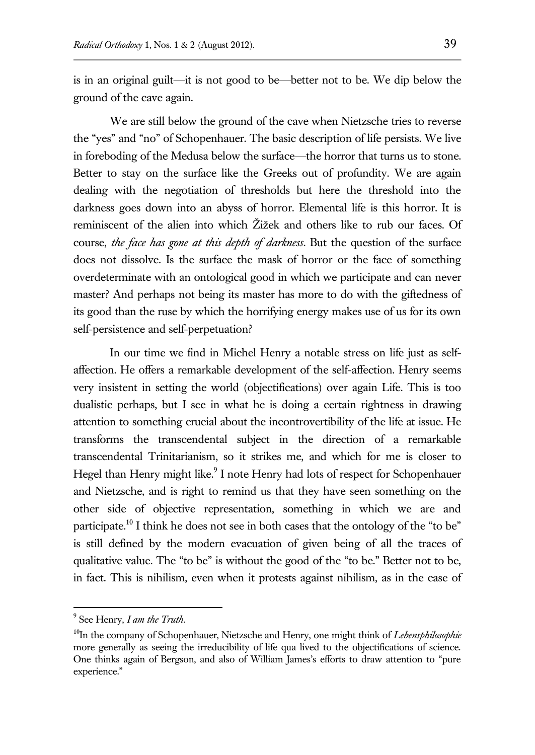is in an original guilt—it is not good to be—better not to be. We dip below the ground of the cave again.

We are still below the ground of the cave when Nietzsche tries to reverse the "yes" and "no" of Schopenhauer. The basic description of life persists. We live in foreboding of the Medusa below the surface—the horror that turns us to stone. Better to stay on the surface like the Greeks out of profundity. We are again dealing with the negotiation of thresholds but here the threshold into the darkness goes down into an abyss of horror. Elemental life is this horror. It is reminiscent of the alien into which Žižek and others like to rub our faces. Of course, *the face has gone at this depth of darkness*. But the question of the surface does not dissolve. Is the surface the mask of horror or the face of something overdeterminate with an ontological good in which we participate and can never master? And perhaps not being its master has more to do with the giftedness of its good than the ruse by which the horrifying energy makes use of us for its own self-persistence and self-perpetuation?

In our time we find in Michel Henry a notable stress on life just as selfaffection. He offers a remarkable development of the self-affection. Henry seems very insistent in setting the world (objectifications) over again Life. This is too dualistic perhaps, but I see in what he is doing a certain rightness in drawing attention to something crucial about the incontrovertibility of the life at issue. He transforms the transcendental subject in the direction of a remarkable transcendental Trinitarianism, so it strikes me, and which for me is closer to Hegel than Henry might like.<sup>9</sup> I note Henry had lots of respect for Schopenhauer and Nietzsche, and is right to remind us that they have seen something on the other side of objective representation, something in which we are and participate.<sup>10</sup> I think he does not see in both cases that the ontology of the "to be" is still defined by the modern evacuation of given being of all the traces of qualitative value. The "to be" is without the good of the "to be." Better not to be, in fact. This is nihilism, even when it protests against nihilism, as in the case of

<sup>9</sup> See Henry, *I am the Truth*.

<sup>&</sup>lt;sup>10</sup>In the company of Schopenhauer, Nietzsche and Henry, one might think of *Lebensphilosophie* more generally as seeing the irreducibility of life qua lived to the objectifications of science. One thinks again of Bergson, and also of William James's efforts to draw attention to "pure experience."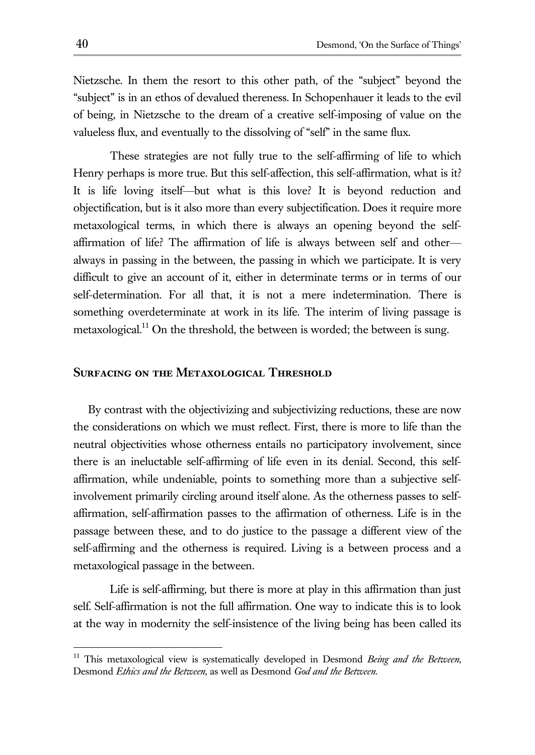Nietzsche. In them the resort to this other path, of the "subject" beyond the "subject" is in an ethos of devalued thereness. In Schopenhauer it leads to the evil of being, in Nietzsche to the dream of a creative self-imposing of value on the valueless flux, and eventually to the dissolving of "self" in the same flux.

These strategies are not fully true to the self-affirming of life to which Henry perhaps is more true. But this self-affection, this self-affirmation, what is it? It is life loving itself—but what is this love? It is beyond reduction and objectification, but is it also more than every subjectification. Does it require more metaxological terms, in which there is always an opening beyond the selfaffirmation of life? The affirmation of life is always between self and other always in passing in the between, the passing in which we participate. It is very difficult to give an account of it, either in determinate terms or in terms of our self-determination. For all that, it is not a mere indetermination. There is something overdeterminate at work in its life. The interim of living passage is metaxological.<sup>11</sup> On the threshold, the between is worded; the between is sung.

## **Surfacing on the Metaxological Threshold**

By contrast with the objectivizing and subjectivizing reductions, these are now the considerations on which we must reflect. First, there is more to life than the neutral objectivities whose otherness entails no participatory involvement, since there is an ineluctable self-affirming of life even in its denial. Second, this selfaffirmation, while undeniable, points to something more than a subjective selfinvolvement primarily circling around itself alone. As the otherness passes to selfaffirmation, self-affirmation passes to the affirmation of otherness. Life is in the passage between these, and to do justice to the passage a different view of the self-affirming and the otherness is required. Living is a between process and a metaxological passage in the between.

Life is self-affirming, but there is more at play in this affirmation than just self. Self-affirmation is not the full affirmation. One way to indicate this is to look at the way in modernity the self-insistence of the living being has been called its

<sup>&</sup>lt;sup>11</sup> This metaxological view is systematically developed in Desmond *Being and the Between*, Desmond *Ethics and the Between*, as well as Desmond *God and the Between.*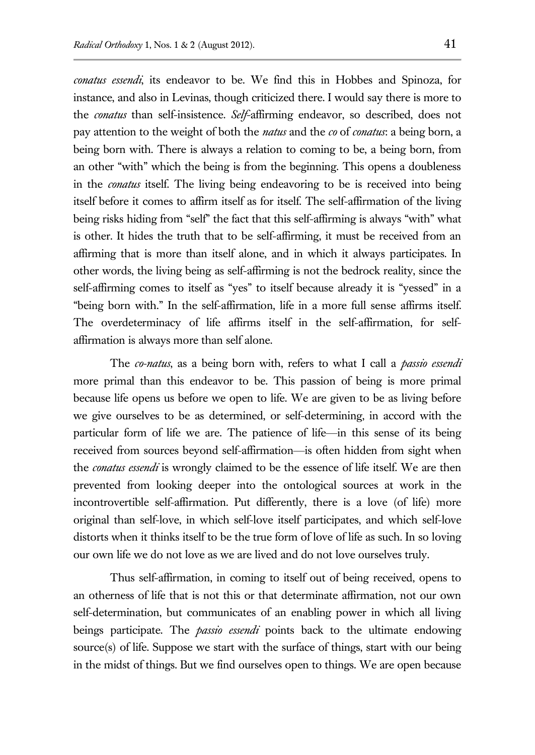*conatus essendi*, its endeavor to be. We find this in Hobbes and Spinoza, for instance, and also in Levinas, though criticized there. I would say there is more to the *conatus* than self-insistence. *Self*-affirming endeavor, so described, does not pay attention to the weight of both the *natus* and the *co* of *conatus*: a being born, a being born with. There is always a relation to coming to be, a being born, from an other "with" which the being is from the beginning. This opens a doubleness in the *conatus* itself. The living being endeavoring to be is received into being itself before it comes to affirm itself as for itself. The self-affirmation of the living being risks hiding from "self" the fact that this self-affirming is always "with" what is other. It hides the truth that to be self-affirming, it must be received from an affirming that is more than itself alone, and in which it always participates. In other words, the living being as self-affirming is not the bedrock reality, since the self-affirming comes to itself as "yes" to itself because already it is "yessed" in a "being born with." In the self-affirmation, life in a more full sense affirms itself. The overdeterminacy of life affirms itself in the self-affirmation, for selfaffirmation is always more than self alone.

The *co-natus*, as a being born with, refers to what I call a *passio essendi* more primal than this endeavor to be. This passion of being is more primal because life opens us before we open to life. We are given to be as living before we give ourselves to be as determined, or self-determining, in accord with the particular form of life we are. The patience of life—in this sense of its being received from sources beyond self-affirmation—is often hidden from sight when the *conatus essendi* is wrongly claimed to be the essence of life itself. We are then prevented from looking deeper into the ontological sources at work in the incontrovertible self-affirmation. Put differently, there is a love (of life) more original than self-love, in which self-love itself participates, and which self-love distorts when it thinks itself to be the true form of love of life as such. In so loving our own life we do not love as we are lived and do not love ourselves truly.

Thus self-affirmation, in coming to itself out of being received, opens to an otherness of life that is not this or that determinate affirmation, not our own self-determination, but communicates of an enabling power in which all living beings participate. The *passio essendi* points back to the ultimate endowing source(s) of life. Suppose we start with the surface of things, start with our being in the midst of things. But we find ourselves open to things. We are open because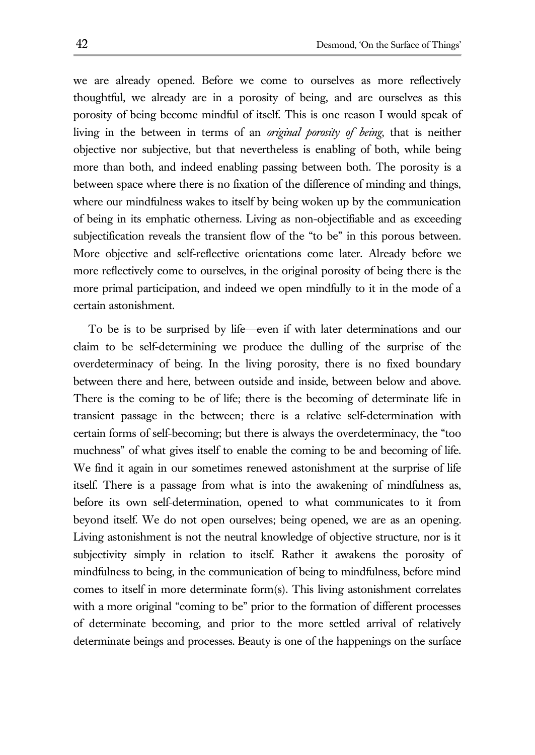we are already opened. Before we come to ourselves as more reflectively thoughtful, we already are in a porosity of being, and are ourselves as this porosity of being become mindful of itself. This is one reason I would speak of living in the between in terms of an *original porosity of being*, that is neither objective nor subjective, but that nevertheless is enabling of both, while being more than both, and indeed enabling passing between both. The porosity is a between space where there is no fixation of the difference of minding and things, where our mindfulness wakes to itself by being woken up by the communication of being in its emphatic otherness. Living as non-objectifiable and as exceeding subjectification reveals the transient flow of the "to be" in this porous between. More objective and self-reflective orientations come later. Already before we more reflectively come to ourselves, in the original porosity of being there is the more primal participation, and indeed we open mindfully to it in the mode of a certain astonishment.

To be is to be surprised by life—even if with later determinations and our claim to be self-determining we produce the dulling of the surprise of the overdeterminacy of being. In the living porosity, there is no fixed boundary between there and here, between outside and inside, between below and above. There is the coming to be of life; there is the becoming of determinate life in transient passage in the between; there is a relative self-determination with certain forms of self-becoming; but there is always the overdeterminacy, the "too muchness" of what gives itself to enable the coming to be and becoming of life. We find it again in our sometimes renewed astonishment at the surprise of life itself. There is a passage from what is into the awakening of mindfulness as, before its own self-determination, opened to what communicates to it from beyond itself. We do not open ourselves; being opened, we are as an opening. Living astonishment is not the neutral knowledge of objective structure, nor is it subjectivity simply in relation to itself. Rather it awakens the porosity of mindfulness to being, in the communication of being to mindfulness, before mind comes to itself in more determinate form(s). This living astonishment correlates with a more original "coming to be" prior to the formation of different processes of determinate becoming, and prior to the more settled arrival of relatively determinate beings and processes. Beauty is one of the happenings on the surface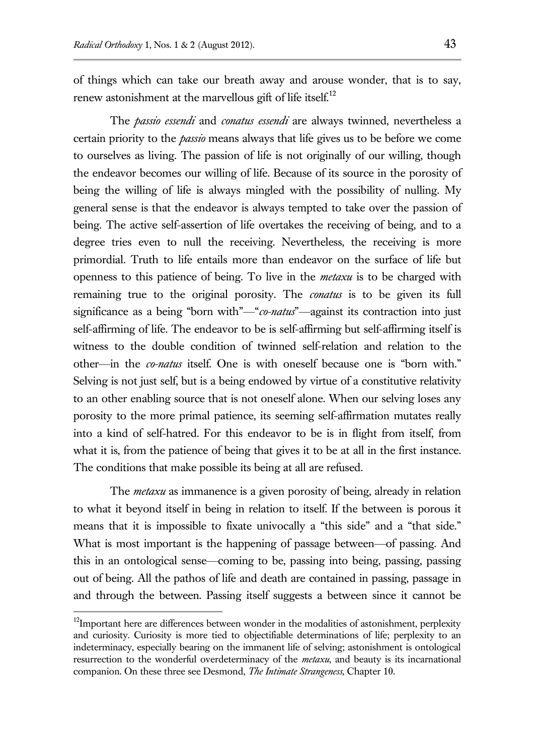of things which can take our breath away and arouse wonder, that is to say, renew astonishment at the marvellous gift of life itself.<sup>12</sup>

The *passio essendi* and *conatus essendi* are always twinned, nevertheless a certain priority to the *passio* means always that life gives us to be before we come to ourselves as living. The passion of life is not originally of our willing, though the endeavor becomes our willing of life. Because of its source in the porosity of being the willing of life is always mingled with the possibility of nulling. My general sense is that the endeavor is always tempted to take over the passion of being. The active self-assertion of life overtakes the receiving of being, and to a degree tries even to null the receiving. Nevertheless, the receiving is more primordial. Truth to life entails more than endeavor on the surface of life but openness to this patience of being. To live in the *metaxu* is to be charged with remaining true to the original porosity. The *conatus* is to be given its full significance as a being "born with"—"*co-natus*"—against its contraction into just self-affirming of life. The endeavor to be is self-affirming but self-affirming itself is witness to the double condition of twinned self-relation and relation to the other—in the *co-natus* itself. One is with oneself because one is "born with." Selving is not just self, but is a being endowed by virtue of a constitutive relativity to an other enabling source that is not oneself alone. When our selving loses any porosity to the more primal patience, its seeming self-affirmation mutates really into a kind of self-hatred. For this endeavor to be is in flight from itself, from what it is, from the patience of being that gives it to be at all in the first instance. The conditions that make possible its being at all are refused.

The *metaxu* as immanence is a given porosity of being, already in relation to what it beyond itself in being in relation to itself. If the between is porous it means that it is impossible to fixate univocally a "this side" and a "that side." What is most important is the happening of passage between—of passing. And this in an ontological sense—coming to be, passing into being, passing, passing out of being. All the pathos of life and death are contained in passing, passage in and through the between. Passing itself suggests a between since it cannot be

<sup>&</sup>lt;sup>12</sup>Important here are differences between wonder in the modalities of astonishment, perplexity and curiosity. Curiosity is more tied to objectifiable determinations of life; perplexity to an indeterminacy, especially bearing on the immanent life of selving; astonishment is ontological resurrection to the wonderful overdeterminacy of the *metaxu*, and beauty is its incarnational companion. On these three see Desmond, *The Intimate Strangeness,* Chapter 10.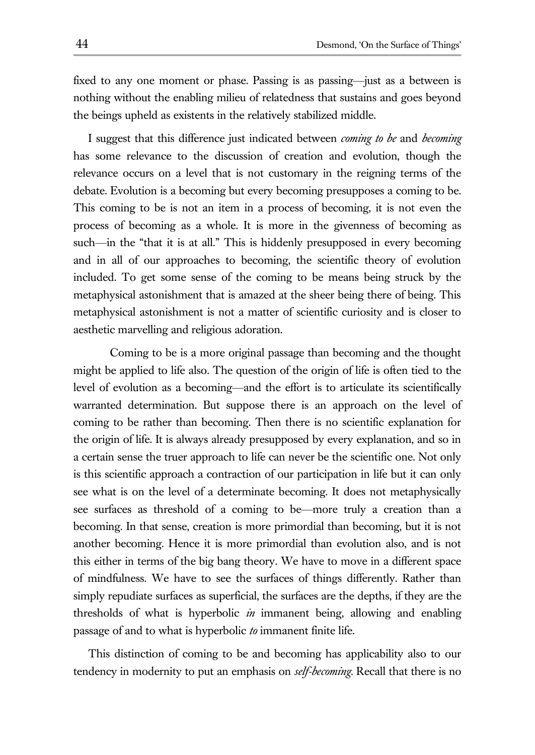fixed to any one moment or phase. Passing is as passing—just as a between is nothing without the enabling milieu of relatedness that sustains and goes beyond the beings upheld as existents in the relatively stabilized middle.

I suggest that this difference just indicated between *coming to be* and *becoming* has some relevance to the discussion of creation and evolution, though the relevance occurs on a level that is not customary in the reigning terms of the debate. Evolution is a becoming but every becoming presupposes a coming to be. This coming to be is not an item in a process of becoming, it is not even the process of becoming as a whole. It is more in the givenness of becoming as such—in the "that it is at all." This is hiddenly presupposed in every becoming and in all of our approaches to becoming, the scientific theory of evolution included. To get some sense of the coming to be means being struck by the metaphysical astonishment that is amazed at the sheer being there of being. This metaphysical astonishment is not a matter of scientific curiosity and is closer to aesthetic marvelling and religious adoration.

Coming to be is a more original passage than becoming and the thought might be applied to life also. The question of the origin of life is often tied to the level of evolution as a becoming—and the effort is to articulate its scientifically warranted determination. But suppose there is an approach on the level of coming to be rather than becoming. Then there is no scientific explanation for the origin of life. It is always already presupposed by every explanation, and so in a certain sense the truer approach to life can never be the scientific one. Not only is this scientific approach a contraction of our participation in life but it can only see what is on the level of a determinate becoming. It does not metaphysically see surfaces as threshold of a coming to be—more truly a creation than a becoming. In that sense, creation is more primordial than becoming, but it is not another becoming. Hence it is more primordial than evolution also, and is not this either in terms of the big bang theory. We have to move in a different space of mindfulness. We have to see the surfaces of things differently. Rather than simply repudiate surfaces as superficial, the surfaces are the depths, if they are the thresholds of what is hyperbolic *in* immanent being, allowing and enabling passage of and to what is hyperbolic *to* immanent finite life.

This distinction of coming to be and becoming has applicability also to our tendency in modernity to put an emphasis on *self-becoming*. Recall that there is no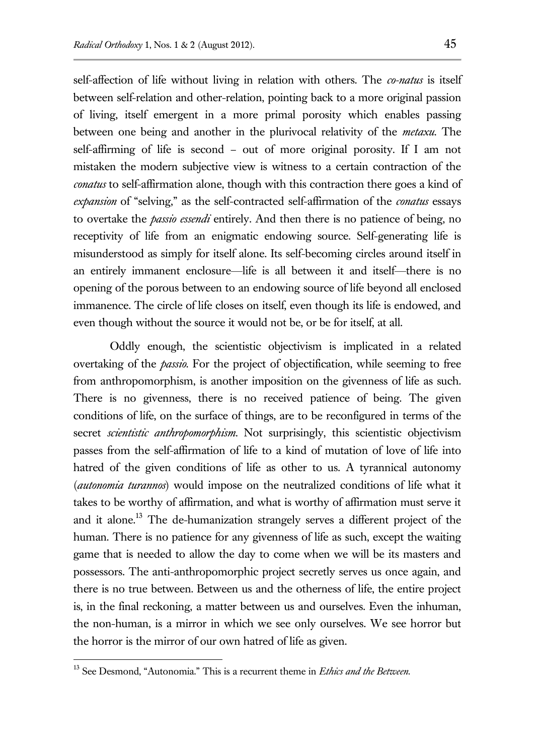self-affection of life without living in relation with others. The *co-natus* is itself between self-relation and other-relation, pointing back to a more original passion of living, itself emergent in a more primal porosity which enables passing between one being and another in the plurivocal relativity of the *metaxu*. The self-affirming of life is second – out of more original porosity. If I am not mistaken the modern subjective view is witness to a certain contraction of the *conatus* to self-affirmation alone, though with this contraction there goes a kind of *expansion* of "selving," as the self-contracted self-affirmation of the *conatus* essays to overtake the *passio essendi* entirely. And then there is no patience of being, no receptivity of life from an enigmatic endowing source. Self-generating life is misunderstood as simply for itself alone. Its self-becoming circles around itself in an entirely immanent enclosure—life is all between it and itself—there is no opening of the porous between to an endowing source of life beyond all enclosed immanence. The circle of life closes on itself, even though its life is endowed, and even though without the source it would not be, or be for itself, at all.

Oddly enough, the scientistic objectivism is implicated in a related overtaking of the *passio*. For the project of objectification, while seeming to free from anthropomorphism, is another imposition on the givenness of life as such. There is no givenness, there is no received patience of being. The given conditions of life, on the surface of things, are to be reconfigured in terms of the secret *scientistic anthropomorphism*. Not surprisingly, this scientistic objectivism passes from the self-affirmation of life to a kind of mutation of love of life into hatred of the given conditions of life as other to us. A tyrannical autonomy (*autonomia turannos*) would impose on the neutralized conditions of life what it takes to be worthy of affirmation, and what is worthy of affirmation must serve it and it alone.<sup>13</sup> The de-humanization strangely serves a different project of the human. There is no patience for any givenness of life as such, except the waiting game that is needed to allow the day to come when we will be its masters and possessors. The anti-anthropomorphic project secretly serves us once again, and there is no true between. Between us and the otherness of life, the entire project is, in the final reckoning, a matter between us and ourselves. Even the inhuman, the non-human, is a mirror in which we see only ourselves. We see horror but the horror is the mirror of our own hatred of life as given.

<sup>13</sup> See Desmond, "Autonomia." This is a recurrent theme in *Ethics and the Between*.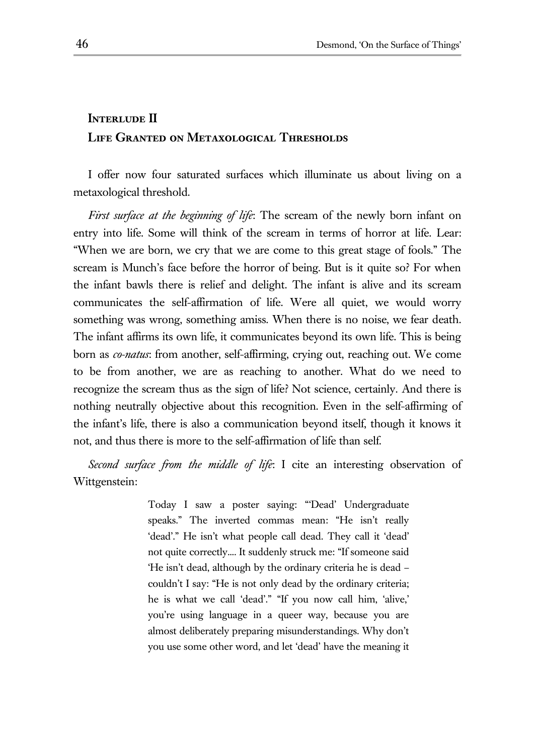## **INTERLUDE II Life Granted on Metaxological Thresholds**

I offer now four saturated surfaces which illuminate us about living on a metaxological threshold.

*First surface at the beginning of life*: The scream of the newly born infant on entry into life. Some will think of the scream in terms of horror at life. Lear: "When we are born, we cry that we are come to this great stage of fools." The scream is Munch's face before the horror of being. But is it quite so? For when the infant bawls there is relief and delight. The infant is alive and its scream communicates the self-affirmation of life. Were all quiet, we would worry something was wrong, something amiss. When there is no noise, we fear death. The infant affirms its own life, it communicates beyond its own life. This is being born as *co-natus*: from another, self-affirming, crying out, reaching out. We come to be from another, we are as reaching to another. What do we need to recognize the scream thus as the sign of life? Not science, certainly. And there is nothing neutrally objective about this recognition. Even in the self-affirming of the infant's life, there is also a communication beyond itself, though it knows it not, and thus there is more to the self-affirmation of life than self.

*Second surface from the middle of life*: I cite an interesting observation of Wittgenstein:

> Today I saw a poster saying: "'Dead' Undergraduate speaks." The inverted commas mean: "He isn't really 'dead'." He isn't what people call dead. They call it 'dead' not quite correctly.... It suddenly struck me: "If someone said 'He isn't dead, although by the ordinary criteria he is dead – couldn't I say: "He is not only dead by the ordinary criteria; he is what we call 'dead'." "If you now call him, 'alive,' you're using language in a queer way, because you are almost deliberately preparing misunderstandings. Why don't you use some other word, and let 'dead' have the meaning it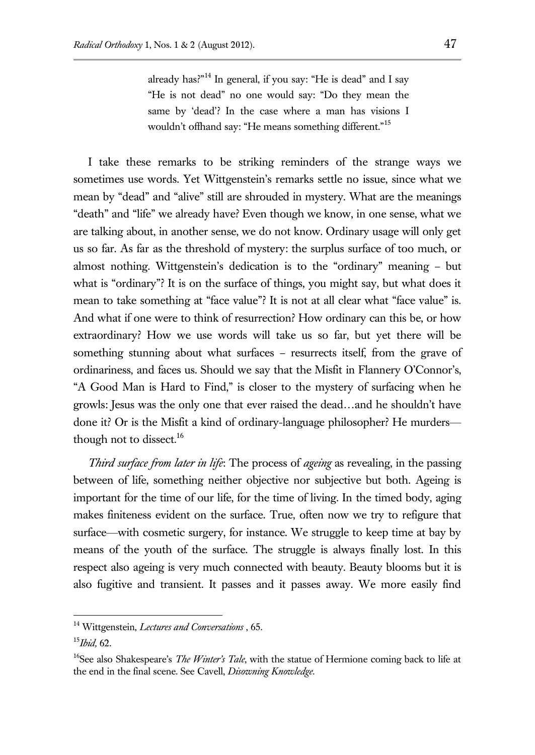already has?"<sup>14</sup> In general, if you say: "He is dead" and I say "He is not dead" no one would say: "Do they mean the same by 'dead'? In the case where a man has visions I wouldn't offhand say: "He means something different."<sup>15</sup>

I take these remarks to be striking reminders of the strange ways we sometimes use words. Yet Wittgenstein's remarks settle no issue, since what we mean by "dead" and "alive" still are shrouded in mystery. What are the meanings "death" and "life" we already have? Even though we know, in one sense, what we are talking about, in another sense, we do not know. Ordinary usage will only get us so far. As far as the threshold of mystery: the surplus surface of too much, or almost nothing. Wittgenstein's dedication is to the "ordinary" meaning – but what is "ordinary"? It is on the surface of things, you might say, but what does it mean to take something at "face value"? It is not at all clear what "face value" is. And what if one were to think of resurrection? How ordinary can this be, or how extraordinary? How we use words will take us so far, but yet there will be something stunning about what surfaces – resurrects itself, from the grave of ordinariness, and faces us. Should we say that the Misfit in Flannery O'Connor's, "A Good Man is Hard to Find," is closer to the mystery of surfacing when he growls: Jesus was the only one that ever raised the dead…and he shouldn't have done it? Or is the Misfit a kind of ordinary-language philosopher? He murders though not to dissect.<sup>16</sup>

*Third surface from later in life*: The process of *ageing* as revealing, in the passing between of life, something neither objective nor subjective but both. Ageing is important for the time of our life, for the time of living. In the timed body, aging makes finiteness evident on the surface. True, often now we try to refigure that surface—with cosmetic surgery, for instance. We struggle to keep time at bay by means of the youth of the surface. The struggle is always finally lost. In this respect also ageing is very much connected with beauty. Beauty blooms but it is also fugitive and transient. It passes and it passes away. We more easily find

<sup>14</sup> Wittgenstein, *Lectures and Conversations* , 65.

<sup>15</sup>*Ibid,* 62.

<sup>&</sup>lt;sup>16</sup>See also Shakespeare's *The Winter's Tale*, with the statue of Hermione coming back to life at the end in the final scene. See Cavell, *Disowning Knowledge*.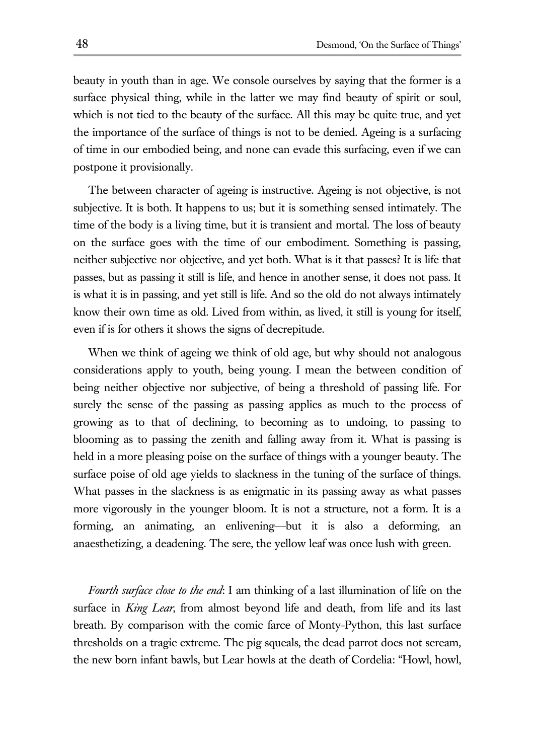beauty in youth than in age. We console ourselves by saying that the former is a surface physical thing, while in the latter we may find beauty of spirit or soul, which is not tied to the beauty of the surface. All this may be quite true, and yet the importance of the surface of things is not to be denied. Ageing is a surfacing of time in our embodied being, and none can evade this surfacing, even if we can postpone it provisionally.

The between character of ageing is instructive. Ageing is not objective, is not subjective. It is both. It happens to us; but it is something sensed intimately. The time of the body is a living time, but it is transient and mortal. The loss of beauty on the surface goes with the time of our embodiment. Something is passing, neither subjective nor objective, and yet both. What is it that passes? It is life that passes, but as passing it still is life, and hence in another sense, it does not pass. It is what it is in passing, and yet still is life. And so the old do not always intimately know their own time as old. Lived from within, as lived, it still is young for itself, even if is for others it shows the signs of decrepitude.

When we think of ageing we think of old age, but why should not analogous considerations apply to youth, being young. I mean the between condition of being neither objective nor subjective, of being a threshold of passing life. For surely the sense of the passing as passing applies as much to the process of growing as to that of declining, to becoming as to undoing, to passing to blooming as to passing the zenith and falling away from it. What is passing is held in a more pleasing poise on the surface of things with a younger beauty. The surface poise of old age yields to slackness in the tuning of the surface of things. What passes in the slackness is as enigmatic in its passing away as what passes more vigorously in the younger bloom. It is not a structure, not a form. It is a forming, an animating, an enlivening—but it is also a deforming, an anaesthetizing, a deadening. The sere, the yellow leaf was once lush with green.

*Fourth surface close to the end*: I am thinking of a last illumination of life on the surface in *King Lear*, from almost beyond life and death, from life and its last breath. By comparison with the comic farce of Monty-Python, this last surface thresholds on a tragic extreme. The pig squeals, the dead parrot does not scream, the new born infant bawls, but Lear howls at the death of Cordelia: "Howl, howl,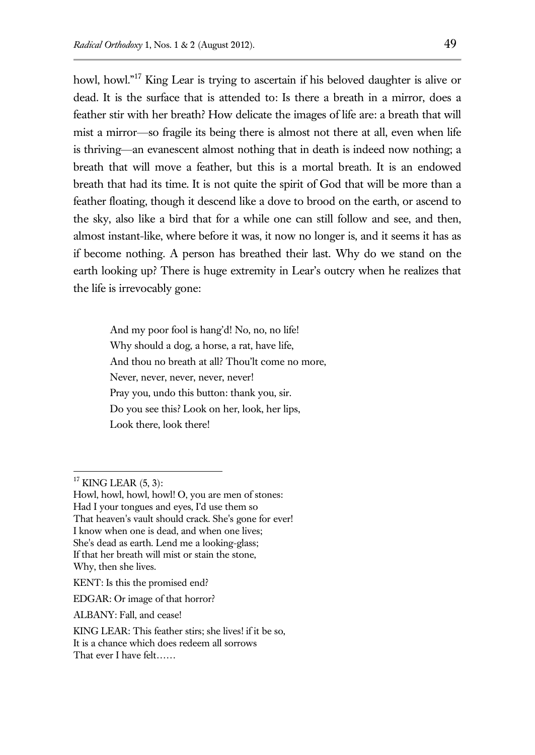howl, howl."<sup>17</sup> King Lear is trying to ascertain if his beloved daughter is alive or dead. It is the surface that is attended to: Is there a breath in a mirror, does a feather stir with her breath? How delicate the images of life are: a breath that will mist a mirror—so fragile its being there is almost not there at all, even when life is thriving—an evanescent almost nothing that in death is indeed now nothing; a breath that will move a feather, but this is a mortal breath. It is an endowed breath that had its time. It is not quite the spirit of God that will be more than a feather floating, though it descend like a dove to brood on the earth, or ascend to the sky, also like a bird that for a while one can still follow and see, and then, almost instant-like, where before it was, it now no longer is, and it seems it has as if become nothing. A person has breathed their last. Why do we stand on the earth looking up? There is huge extremity in Lear's outcry when he realizes that the life is irrevocably gone:

And my poor fool is hang'd! No, no, no life! Why should a dog, a horse, a rat, have life, And thou no breath at all? Thou'lt come no more, Never, never, never, never, never! Pray you, undo this button: thank you, sir. Do you see this? Look on her, look, her lips, Look there, look there!

 $\overline{a}$ 

ALBANY: Fall, and cease!

 $17$  KING LEAR  $(5, 3)$ :

Howl, howl, howl, howl! O, you are men of stones: Had I your tongues and eyes, I'd use them so That heaven's vault should crack. She's gone for ever! I know when one is dead, and when one lives; She's dead as earth. Lend me a looking-glass; If that her breath will mist or stain the stone, Why, then she lives.

KENT: Is this the promised end?

EDGAR: Or image of that horror?

KING LEAR: This feather stirs; she lives! if it be so, It is a chance which does redeem all sorrows That ever I have felt……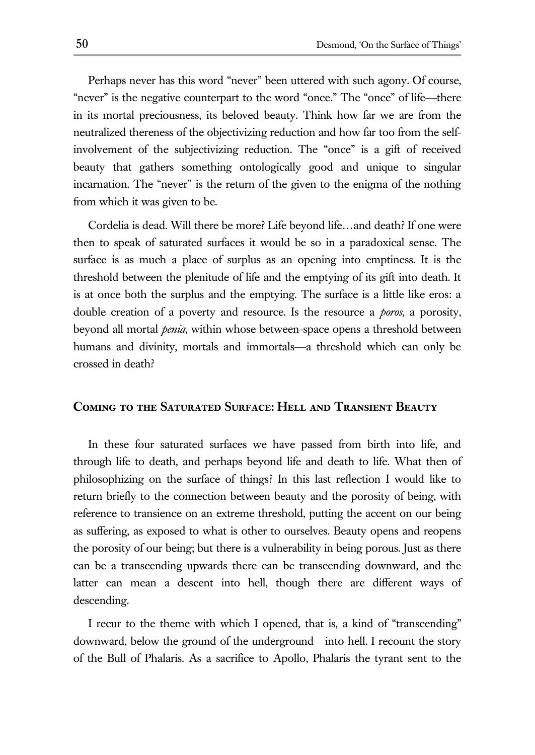Perhaps never has this word "never" been uttered with such agony. Of course, "never" is the negative counterpart to the word "once." The "once" of life—there in its mortal preciousness, its beloved beauty. Think how far we are from the neutralized thereness of the objectivizing reduction and how far too from the selfinvolvement of the subjectivizing reduction. The "once" is a gift of received beauty that gathers something ontologically good and unique to singular incarnation. The "never" is the return of the given to the enigma of the nothing from which it was given to be.

Cordelia is dead. Will there be more? Life beyond life…and death? If one were then to speak of saturated surfaces it would be so in a paradoxical sense. The surface is as much a place of surplus as an opening into emptiness. It is the threshold between the plenitude of life and the emptying of its gift into death. It is at once both the surplus and the emptying. The surface is a little like eros: a double creation of a poverty and resource. Is the resource a *poros*, a porosity, beyond all mortal *penia*, within whose between-space opens a threshold between humans and divinity, mortals and immortals—a threshold which can only be crossed in death?

### **Coming to the Saturated Surface: Hell and Transient Beauty**

In these four saturated surfaces we have passed from birth into life, and through life to death, and perhaps beyond life and death to life. What then of philosophizing on the surface of things? In this last reflection I would like to return briefly to the connection between beauty and the porosity of being, with reference to transience on an extreme threshold, putting the accent on our being as suffering, as exposed to what is other to ourselves. Beauty opens and reopens the porosity of our being; but there is a vulnerability in being porous. Just as there can be a transcending upwards there can be transcending downward, and the latter can mean a descent into hell, though there are different ways of descending.

I recur to the theme with which I opened, that is, a kind of "transcending" downward, below the ground of the underground—into hell. I recount the story of the Bull of Phalaris. As a sacrifice to Apollo, Phalaris the tyrant sent to the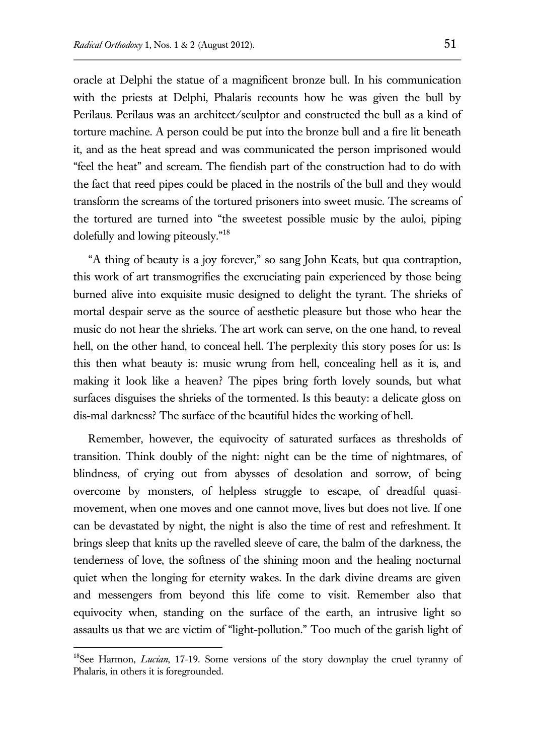oracle at Delphi the statue of a magnificent bronze bull. In his communication with the priests at Delphi, Phalaris recounts how he was given the bull by Perilaus. Perilaus was an architect/sculptor and constructed the bull as a kind of torture machine. A person could be put into the bronze bull and a fire lit beneath it, and as the heat spread and was communicated the person imprisoned would "feel the heat" and scream. The fiendish part of the construction had to do with the fact that reed pipes could be placed in the nostrils of the bull and they would transform the screams of the tortured prisoners into sweet music. The screams of the tortured are turned into "the sweetest possible music by the auloi, piping dolefully and lowing piteously."<sup>18</sup>

"A thing of beauty is a joy forever," so sang John Keats, but qua contraption, this work of art transmogrifies the excruciating pain experienced by those being burned alive into exquisite music designed to delight the tyrant. The shrieks of mortal despair serve as the source of aesthetic pleasure but those who hear the music do not hear the shrieks. The art work can serve, on the one hand, to reveal hell, on the other hand, to conceal hell. The perplexity this story poses for us: Is this then what beauty is: music wrung from hell, concealing hell as it is, and making it look like a heaven? The pipes bring forth lovely sounds, but what surfaces disguises the shrieks of the tormented. Is this beauty: a delicate gloss on dis-mal darkness? The surface of the beautiful hides the working of hell.

Remember, however, the equivocity of saturated surfaces as thresholds of transition. Think doubly of the night: night can be the time of nightmares, of blindness, of crying out from abysses of desolation and sorrow, of being overcome by monsters, of helpless struggle to escape, of dreadful quasimovement, when one moves and one cannot move, lives but does not live. If one can be devastated by night, the night is also the time of rest and refreshment. It brings sleep that knits up the ravelled sleeve of care, the balm of the darkness, the tenderness of love, the softness of the shining moon and the healing nocturnal quiet when the longing for eternity wakes. In the dark divine dreams are given and messengers from beyond this life come to visit. Remember also that equivocity when, standing on the surface of the earth, an intrusive light so assaults us that we are victim of "light-pollution." Too much of the garish light of

<sup>&</sup>lt;sup>18</sup>See Harmon, *Lucian*, 17-19. Some versions of the story downplay the cruel tyranny of Phalaris, in others it is foregrounded.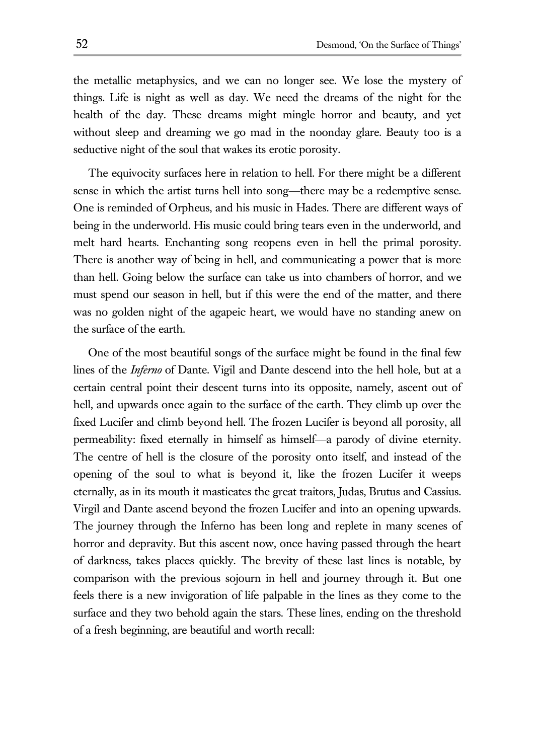the metallic metaphysics, and we can no longer see. We lose the mystery of things. Life is night as well as day. We need the dreams of the night for the health of the day. These dreams might mingle horror and beauty, and yet without sleep and dreaming we go mad in the noonday glare. Beauty too is a seductive night of the soul that wakes its erotic porosity.

The equivocity surfaces here in relation to hell. For there might be a different sense in which the artist turns hell into song—there may be a redemptive sense. One is reminded of Orpheus, and his music in Hades. There are different ways of being in the underworld. His music could bring tears even in the underworld, and melt hard hearts. Enchanting song reopens even in hell the primal porosity. There is another way of being in hell, and communicating a power that is more than hell. Going below the surface can take us into chambers of horror, and we must spend our season in hell, but if this were the end of the matter, and there was no golden night of the agapeic heart, we would have no standing anew on the surface of the earth.

One of the most beautiful songs of the surface might be found in the final few lines of the *Inferno* of Dante. Vigil and Dante descend into the hell hole, but at a certain central point their descent turns into its opposite, namely, ascent out of hell, and upwards once again to the surface of the earth. They climb up over the fixed Lucifer and climb beyond hell. The frozen Lucifer is beyond all porosity, all permeability: fixed eternally in himself as himself—a parody of divine eternity. The centre of hell is the closure of the porosity onto itself, and instead of the opening of the soul to what is beyond it, like the frozen Lucifer it weeps eternally, as in its mouth it masticates the great traitors, Judas, Brutus and Cassius. Virgil and Dante ascend beyond the frozen Lucifer and into an opening upwards. The journey through the Inferno has been long and replete in many scenes of horror and depravity. But this ascent now, once having passed through the heart of darkness, takes places quickly. The brevity of these last lines is notable, by comparison with the previous sojourn in hell and journey through it. But one feels there is a new invigoration of life palpable in the lines as they come to the surface and they two behold again the stars. These lines, ending on the threshold of a fresh beginning, are beautiful and worth recall: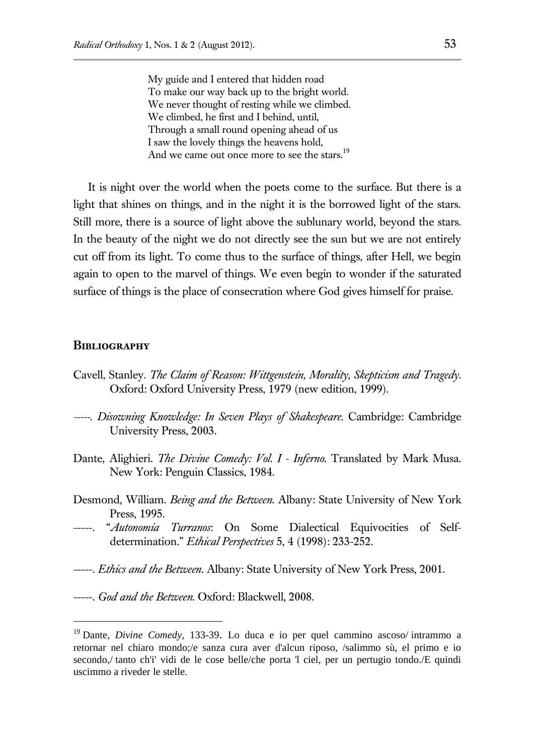My guide and I entered that hidden road To make our way back up to the bright world. We never thought of resting while we climbed. We climbed, he first and I behind, until, Through a small round opening ahead of us I saw the lovely things the heavens hold, And we came out once more to see the stars.<sup>19</sup>

It is night over the world when the poets come to the surface. But there is a light that shines on things, and in the night it is the borrowed light of the stars. Still more, there is a source of light above the sublunary world, beyond the stars. In the beauty of the night we do not directly see the sun but we are not entirely cut off from its light. To come thus to the surface of things, after Hell, we begin again to open to the marvel of things. We even begin to wonder if the saturated surface of things is the place of consecration where God gives himself for praise.

#### **Bibliography**

- Cavell, Stanley. *The Claim of Reason: Wittgenstein, Morality, Skepticism and Tragedy*. Oxford: Oxford University Press, 1979 (new edition, 1999).
- *-----. Disowning Knowledge: In Seven Plays of Shakespeare.* Cambridge: Cambridge University Press, 2003.
- Dante, Alighieri. *The Divine Comedy: Vol. I - Inferno*. Translated by Mark Musa. New York: Penguin Classics, 1984.
- Desmond, William. *Being and the Between.* Albany: State University of New York Press, 1995.
- --. "*Autonomia Turranos*: On Some Dialectical Equivocities of Selfdetermination." *Ethical Perspectives* 5, 4 (1998): 233-252.
- -----. *Ethics and the Between*. Albany: State University of New York Press, 2001.
- -----. *God and the Between.* Oxford: Blackwell, 2008.

<sup>19</sup> Dante, *Divine Comedy,* 133-39. Lo duca e io per quel cammino ascoso/ intrammo a retornar nel chiaro mondo;/e sanza cura aver d'alcun riposo, /salimmo sù, el primo e io secondo,/ tanto ch'i' vidi de le cose belle/che porta 'l ciel, per un pertugio tondo./E quindi uscimmo a riveder le stelle.